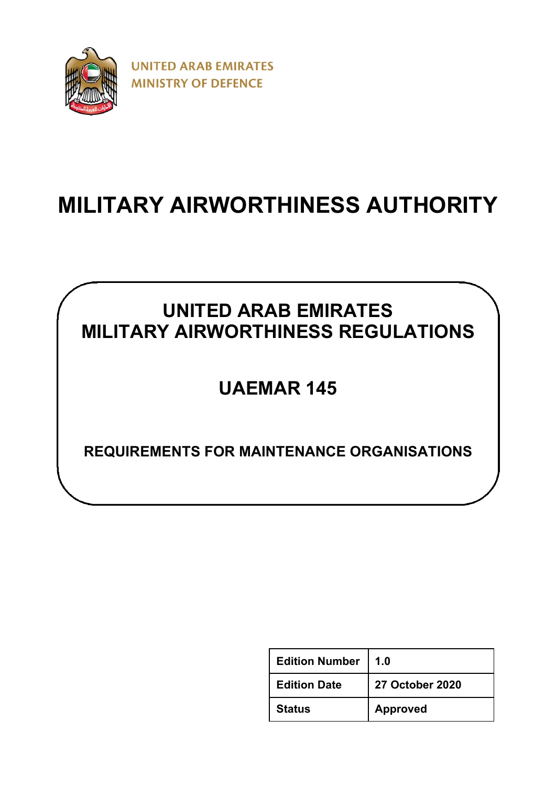

# **MILITARY AIRWORTHINESS AUTHORITY**

## **UNITED ARAB EMIRATES MILITARY AIRWORTHINESS REGULATIONS**

## **UAEMAR 145**

**REQUIREMENTS FOR MAINTENANCE ORGANISATIONS**

| <b>Edition Number</b> | 1.0                    |
|-----------------------|------------------------|
| <b>Edition Date</b>   | <b>27 October 2020</b> |
| <b>Status</b>         | <b>Approved</b>        |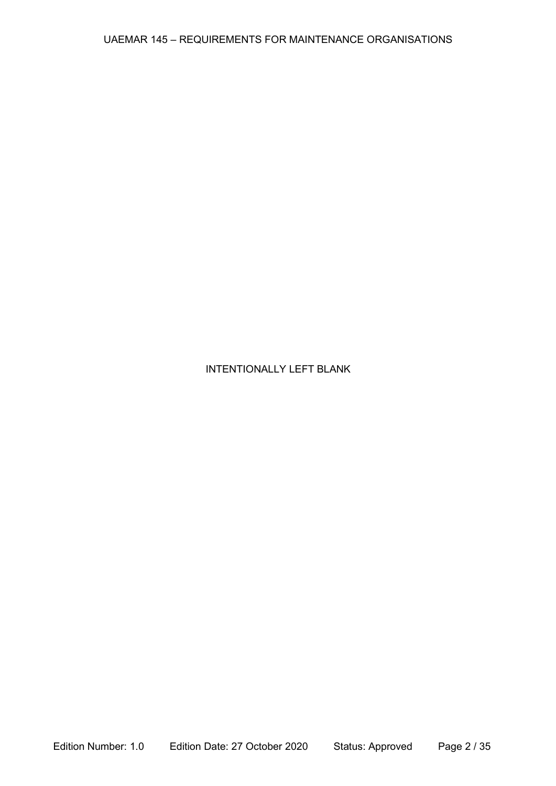#### INTENTIONALLY LEFT BLANK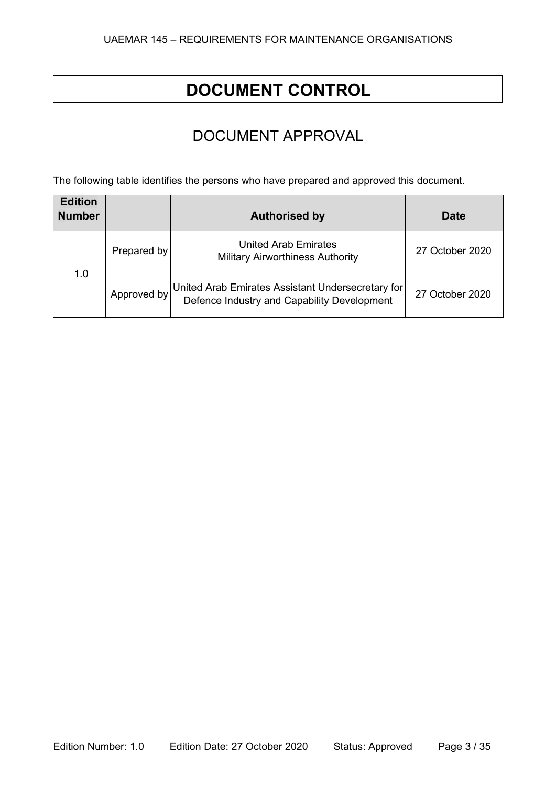## **DOCUMENT CONTROL**

### DOCUMENT APPROVAL

The following table identifies the persons who have prepared and approved this document.

| <b>Edition</b><br><b>Number</b> |             | <b>Authorised by</b>                                                                             | <b>Date</b>     |
|---------------------------------|-------------|--------------------------------------------------------------------------------------------------|-----------------|
| 1.0                             | Prepared by | United Arab Emirates<br><b>Military Airworthiness Authority</b>                                  | 27 October 2020 |
|                                 | Approved by | United Arab Emirates Assistant Undersecretary for<br>Defence Industry and Capability Development | 27 October 2020 |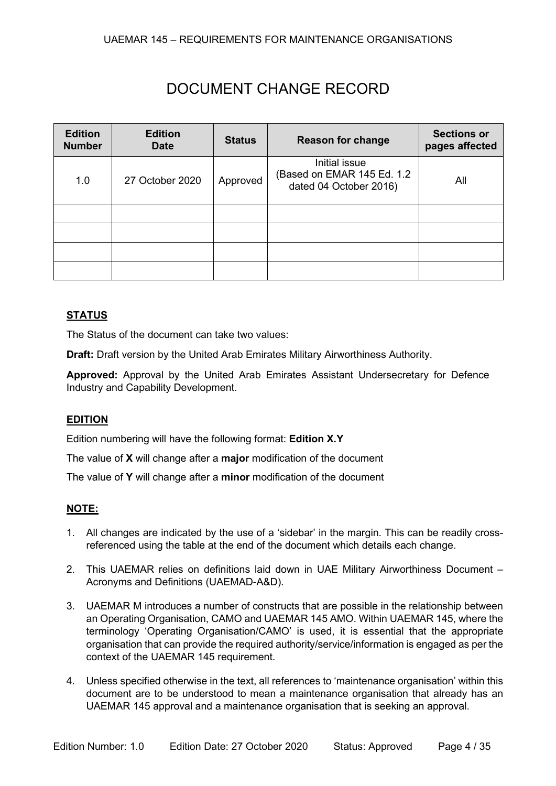## DOCUMENT CHANGE RECORD

| <b>Edition</b><br><b>Number</b> | <b>Edition</b><br><b>Date</b> | <b>Status</b> | <b>Reason for change</b>                                              | <b>Sections or</b><br>pages affected |
|---------------------------------|-------------------------------|---------------|-----------------------------------------------------------------------|--------------------------------------|
| 1.0                             | 27 October 2020               | Approved      | Initial issue<br>(Based on EMAR 145 Ed. 1.2<br>dated 04 October 2016) | All                                  |
|                                 |                               |               |                                                                       |                                      |
|                                 |                               |               |                                                                       |                                      |
|                                 |                               |               |                                                                       |                                      |
|                                 |                               |               |                                                                       |                                      |

#### **STATUS**

The Status of the document can take two values:

**Draft:** Draft version by the United Arab Emirates Military Airworthiness Authority.

**Approved:** Approval by the United Arab Emirates Assistant Undersecretary for Defence Industry and Capability Development.

#### **EDITION**

Edition numbering will have the following format: **Edition X.Y**

The value of **X** will change after a **major** modification of the document

The value of **Y** will change after a **minor** modification of the document

#### **NOTE:**

- 1. All changes are indicated by the use of a 'sidebar' in the margin. This can be readily crossreferenced using the table at the end of the document which details each change.
- 2. This UAEMAR relies on definitions laid down in UAE Military Airworthiness Document Acronyms and Definitions (UAEMAD-A&D).
- 3. UAEMAR M introduces a number of constructs that are possible in the relationship between an Operating Organisation, CAMO and UAEMAR 145 AMO. Within UAEMAR 145, where the terminology 'Operating Organisation/CAMO' is used, it is essential that the appropriate organisation that can provide the required authority/service/information is engaged as per the context of the UAEMAR 145 requirement.
- 4. Unless specified otherwise in the text, all references to 'maintenance organisation' within this document are to be understood to mean a maintenance organisation that already has an UAEMAR 145 approval and a maintenance organisation that is seeking an approval.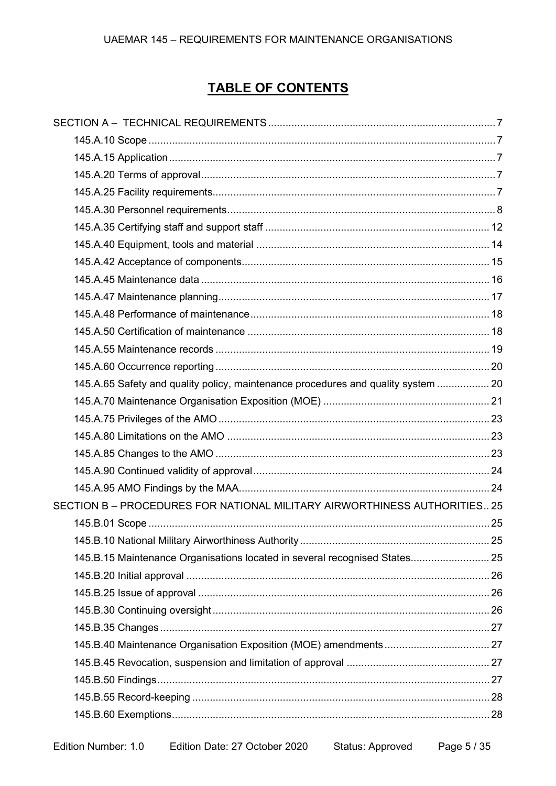### **TABLE OF CONTENTS**

| 145.A.65 Safety and quality policy, maintenance procedures and quality system  20 |  |
|-----------------------------------------------------------------------------------|--|
|                                                                                   |  |
|                                                                                   |  |
|                                                                                   |  |
|                                                                                   |  |
|                                                                                   |  |
|                                                                                   |  |
| SECTION B - PROCEDURES FOR NATIONAL MILITARY AIRWORTHINESS AUTHORITIES 25         |  |
|                                                                                   |  |
|                                                                                   |  |
| 145.B.15 Maintenance Organisations located in several recognised States 25        |  |
|                                                                                   |  |
|                                                                                   |  |
|                                                                                   |  |
|                                                                                   |  |
|                                                                                   |  |
|                                                                                   |  |
|                                                                                   |  |
|                                                                                   |  |
|                                                                                   |  |
|                                                                                   |  |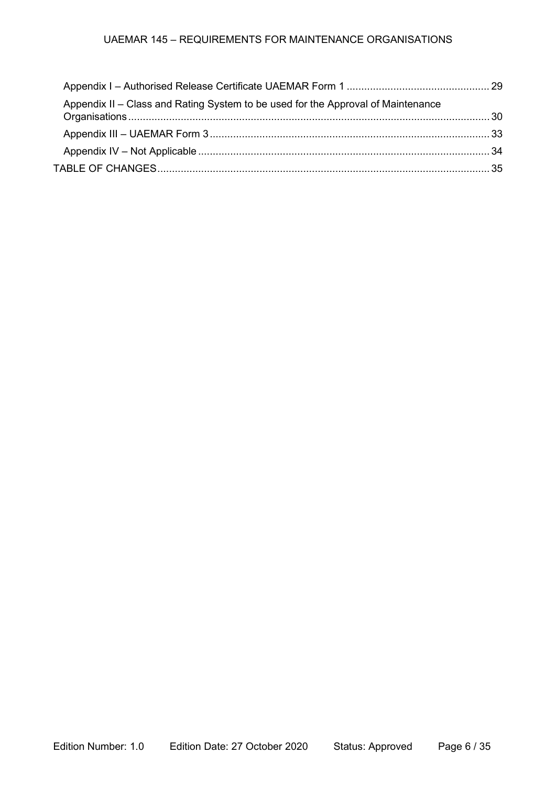#### UAEMAR 145 – REQUIREMENTS FOR MAINTENANCE ORGANISATIONS

| Appendix II – Class and Rating System to be used for the Approval of Maintenance |  |
|----------------------------------------------------------------------------------|--|
|                                                                                  |  |
|                                                                                  |  |
|                                                                                  |  |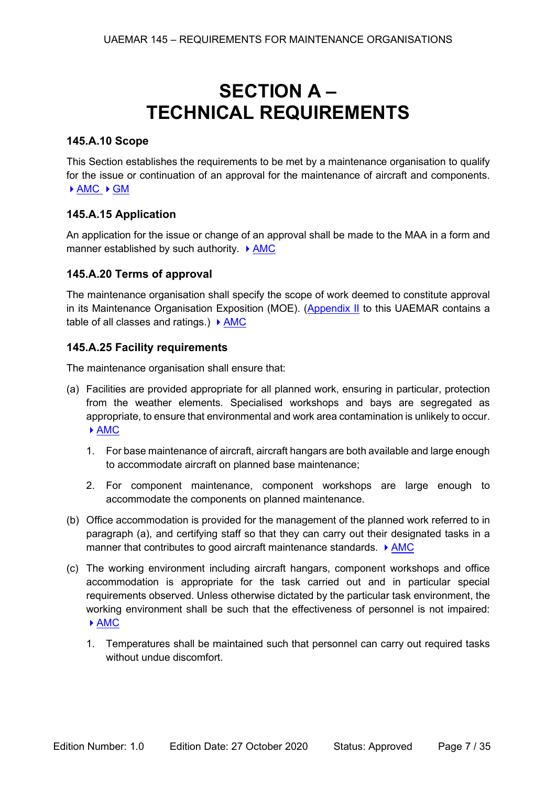## **SECTION A – TECHNICAL REQUIREMENTS**

#### <span id="page-6-1"></span><span id="page-6-0"></span>**145.A.10 Scope**

This Section establishes the requirements to be met by a maintenance organisation to qualify for the issue or continuation of an approval for the maintenance of aircraft and components.  $\rightarrow$  AMC  $\rightarrow$  GM

#### <span id="page-6-2"></span>**145.A.15 Application**

An application for the issue or change of an approval shall be made to the MAA in a form and manner established by such authority.  $\triangleright$  AMC

#### <span id="page-6-3"></span>**145.A.20 Terms of approval**

The maintenance organisation shall specify the scope of work deemed to constitute approval in its Maintenance Organisation Exposition (MOE). (Appendix II to this UAEMAR contains a table of all classes and ratings.)  $\triangleright$  AMC

#### <span id="page-6-4"></span>**145.A.25 Facility requirements**

The maintenance organisation shall ensure that:

- (a) Facilities are provided appropriate for all planned work, ensuring in particular, protection from the weather elements. Specialised workshops and bays are segregated as appropriate, to ensure that environmental and work area contamination is unlikely to occur. ▶ AMC
	- 1. For base maintenance of aircraft, aircraft hangars are both available and large enough to accommodate aircraft on planned base maintenance;
	- 2. For component maintenance, component workshops are large enough to accommodate the components on planned maintenance.
- (b) Office accommodation is provided for the management of the planned work referred to in paragraph (a), and certifying staff so that they can carry out their designated tasks in a manner that contributes to good aircraft maintenance standards.  $\triangleright$  AMC
- (c) The working environment including aircraft hangars, component workshops and office accommodation is appropriate for the task carried out and in particular special requirements observed. Unless otherwise dictated by the particular task environment, the working environment shall be such that the effectiveness of personnel is not impaired:  $\blacktriangleright$  AMC
	- 1. Temperatures shall be maintained such that personnel can carry out required tasks without undue discomfort.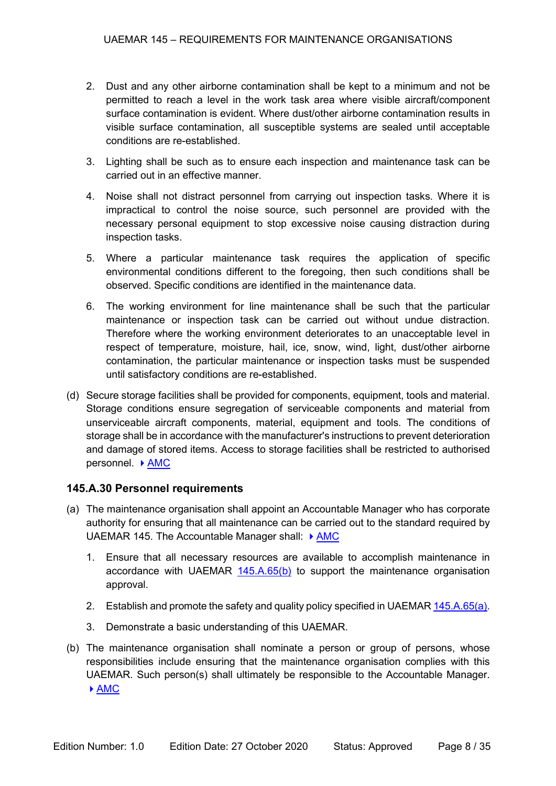- 2. Dust and any other airborne contamination shall be kept to a minimum and not be permitted to reach a level in the work task area where visible aircraft/component surface contamination is evident. Where dust/other airborne contamination results in visible surface contamination, all susceptible systems are sealed until acceptable conditions are re-established.
- 3. Lighting shall be such as to ensure each inspection and maintenance task can be carried out in an effective manner.
- 4. Noise shall not distract personnel from carrying out inspection tasks. Where it is impractical to control the noise source, such personnel are provided with the necessary personal equipment to stop excessive noise causing distraction during inspection tasks.
- 5. Where a particular maintenance task requires the application of specific environmental conditions different to the foregoing, then such conditions shall be observed. Specific conditions are identified in the maintenance data.
- 6. The working environment for line maintenance shall be such that the particular maintenance or inspection task can be carried out without undue distraction. Therefore where the working environment deteriorates to an unacceptable level in respect of temperature, moisture, hail, ice, snow, wind, light, dust/other airborne contamination, the particular maintenance or inspection tasks must be suspended until satisfactory conditions are re-established.
- (d) Secure storage facilities shall be provided for components, equipment, tools and material. Storage conditions ensure segregation of serviceable components and material from unserviceable aircraft components, material, equipment and tools. The conditions of storage shall be in accordance with the manufacturer's instructions to prevent deterioration and damage of stored items. Access to storage facilities shall be restricted to authorised personnel. ▶ AMC

#### <span id="page-7-0"></span>**145.A.30 Personnel requirements**

- (a) The maintenance organisation shall appoint an Accountable Manager who has corporate authority for ensuring that all maintenance can be carried out to the standard required by UAEMAR 145. The Accountable Manager shall:  $\triangleright$  AMC
	- 1. Ensure that all necessary resources are available to accomplish maintenance in accordance with UAEMAR 145.A.65(b) to support the maintenance organisation approval.
	- 2. Establish and promote the safety and quality policy specified in UAEMAR 145.A.65(a).
	- 3. Demonstrate a basic understanding of this UAEMAR.
- (b) The maintenance organisation shall nominate a person or group of persons, whose responsibilities include ensuring that the maintenance organisation complies with this UAEMAR. Such person(s) shall ultimately be responsible to the Accountable Manager. AMC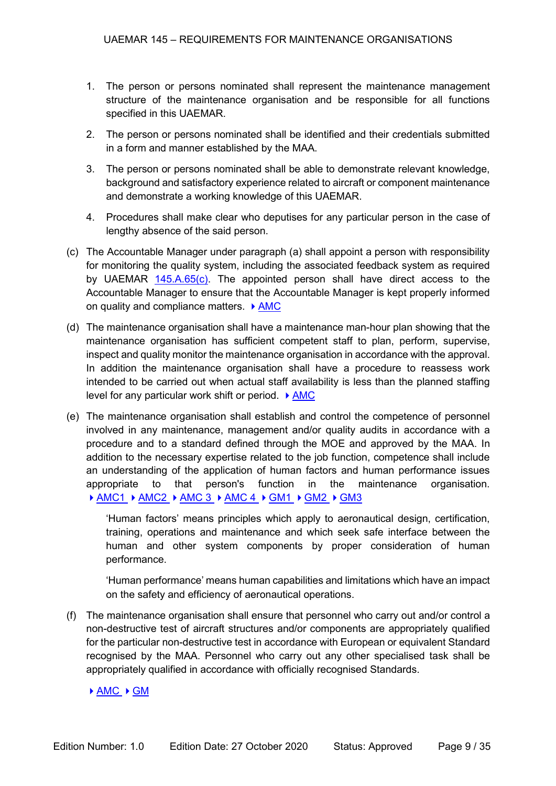- 1. The person or persons nominated shall represent the maintenance management structure of the maintenance organisation and be responsible for all functions specified in this UAEMAR.
- 2. The person or persons nominated shall be identified and their credentials submitted in a form and manner established by the MAA.
- 3. The person or persons nominated shall be able to demonstrate relevant knowledge, background and satisfactory experience related to aircraft or component maintenance and demonstrate a working knowledge of this UAEMAR.
- 4. Procedures shall make clear who deputises for any particular person in the case of lengthy absence of the said person.
- (c) The Accountable Manager under paragraph (a) shall appoint a person with responsibility for monitoring the quality system, including the associated feedback system as required by UAEMAR 145.A.65(c). The appointed person shall have direct access to the Accountable Manager to ensure that the Accountable Manager is kept properly informed on quality and compliance matters.  $\triangleright$  AMC
- (d) The maintenance organisation shall have a maintenance man-hour plan showing that the maintenance organisation has sufficient competent staff to plan, perform, supervise, inspect and quality monitor the maintenance organisation in accordance with the approval. In addition the maintenance organisation shall have a procedure to reassess work intended to be carried out when actual staff availability is less than the planned staffing level for any particular work shift or period.  $\triangleright$  AMC
- (e) The maintenance organisation shall establish and control the competence of personnel involved in any maintenance, management and/or quality audits in accordance with a procedure and to a standard defined through the MOE and approved by the MAA. In addition to the necessary expertise related to the job function, competence shall include an understanding of the application of human factors and human performance issues appropriate to that person's function in the maintenance organisation. AMC1 > AMC2 > AMC 3 > AMC 4 > GM1 > GM2 > GM3

'Human factors' means principles which apply to aeronautical design, certification, training, operations and maintenance and which seek safe interface between the human and other system components by proper consideration of human performance.

'Human performance' means human capabilities and limitations which have an impact on the safety and efficiency of aeronautical operations.

(f) The maintenance organisation shall ensure that personnel who carry out and/or control a non-destructive test of aircraft structures and/or components are appropriately qualified for the particular non-destructive test in accordance with European or equivalent Standard recognised by the MAA. Personnel who carry out any other specialised task shall be appropriately qualified in accordance with officially recognised Standards.

 $\rightarrow$  AMC  $\rightarrow$  GM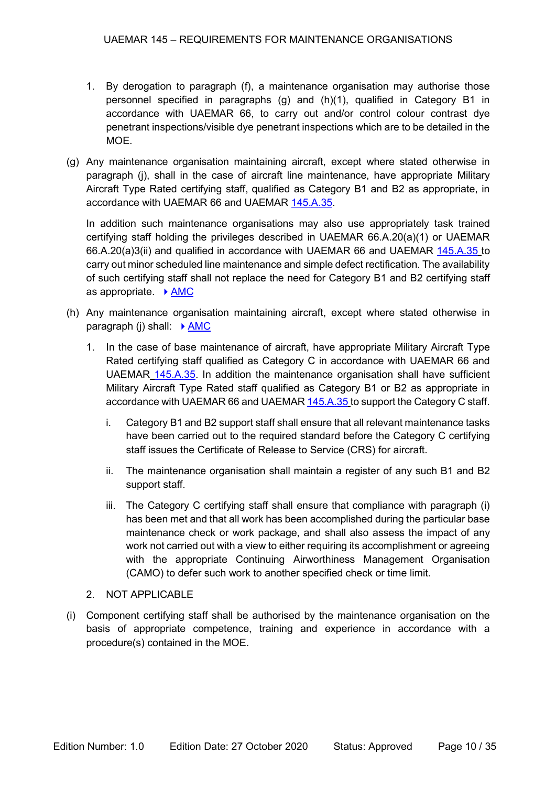- 1. By derogation to paragraph (f), a maintenance organisation may authorise those personnel specified in paragraphs (g) and (h)(1), qualified in Category B1 in accordance with UAEMAR 66, to carry out and/or control colour contrast dye penetrant inspections/visible dye penetrant inspections which are to be detailed in the MOE.
- (g) Any maintenance organisation maintaining aircraft, except where stated otherwise in paragraph (j), shall in the case of aircraft line maintenance, have appropriate Military Aircraft Type Rated certifying staff, qualified as Category B1 and B2 as appropriate, in accordance with UAEMAR 66 and UAEMAR 145.A.35.

In addition such maintenance organisations may also use appropriately task trained certifying staff holding the privileges described in UAEMAR 66.A.20(a)(1) or UAEMAR 66.A.20(a)3(ii) and qualified in accordance with UAEMAR 66 and UAEMAR 145.A.35 to carry out minor scheduled line maintenance and simple defect rectification. The availability of such certifying staff shall not replace the need for Category B1 and B2 certifying staff as appropriate.  $\triangleright$  AMC

- (h) Any maintenance organisation maintaining aircraft, except where stated otherwise in paragraph (j) shall: ▶ AMC
	- 1. In the case of base maintenance of aircraft, have appropriate Military Aircraft Type Rated certifying staff qualified as Category C in accordance with UAEMAR 66 and UAEMAR 145.A.35. In addition the maintenance organisation shall have sufficient Military Aircraft Type Rated staff qualified as Category B1 or B2 as appropriate in accordance with UAEMAR 66 and UAEMAR 145.A.35 to support the Category C staff.
		- i. Category B1 and B2 support staff shall ensure that all relevant maintenance tasks have been carried out to the required standard before the Category C certifying staff issues the Certificate of Release to Service (CRS) for aircraft.
		- ii. The maintenance organisation shall maintain a register of any such B1 and B2 support staff.
		- iii. The Category C certifying staff shall ensure that compliance with paragraph (i) has been met and that all work has been accomplished during the particular base maintenance check or work package, and shall also assess the impact of any work not carried out with a view to either requiring its accomplishment or agreeing with the appropriate Continuing Airworthiness Management Organisation (CAMO) to defer such work to another specified check or time limit.
	- 2. NOT APPLICABLE
- (i) Component certifying staff shall be authorised by the maintenance organisation on the basis of appropriate competence, training and experience in accordance with a procedure(s) contained in the MOE.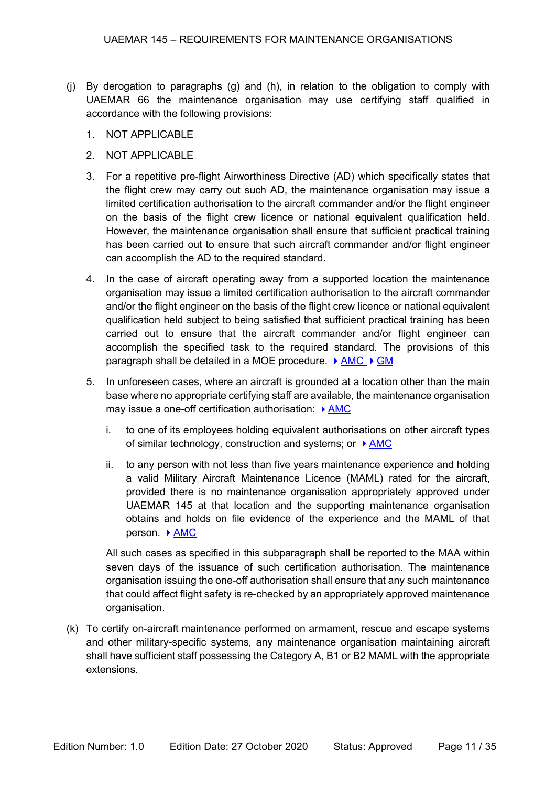- (j) By derogation to paragraphs (g) and (h), in relation to the obligation to comply with UAEMAR 66 the maintenance organisation may use certifying staff qualified in accordance with the following provisions:
	- 1. NOT APPLICABLE
	- 2. NOT APPLICABLE
	- 3. For a repetitive pre-flight Airworthiness Directive (AD) which specifically states that the flight crew may carry out such AD, the maintenance organisation may issue a limited certification authorisation to the aircraft commander and/or the flight engineer on the basis of the flight crew licence or national equivalent qualification held. However, the maintenance organisation shall ensure that sufficient practical training has been carried out to ensure that such aircraft commander and/or flight engineer can accomplish the AD to the required standard.
	- 4. In the case of aircraft operating away from a supported location the maintenance organisation may issue a limited certification authorisation to the aircraft commander and/or the flight engineer on the basis of the flight crew licence or national equivalent qualification held subject to being satisfied that sufficient practical training has been carried out to ensure that the aircraft commander and/or flight engineer can accomplish the specified task to the required standard. The provisions of this paragraph shall be detailed in a MOE procedure.  $\triangleright$  AMC  $\triangleright$  GM
	- 5. In unforeseen cases, where an aircraft is grounded at a location other than the main base where no appropriate certifying staff are available, the maintenance organisation may issue a one-off certification authorisation:  $\rightarrow$  AMC
		- i. to one of its employees holding equivalent authorisations on other aircraft types of similar technology, construction and systems; or  $\triangleright$  AMC
		- ii. to any person with not less than five years maintenance experience and holding a valid Military Aircraft Maintenance Licence (MAML) rated for the aircraft, provided there is no maintenance organisation appropriately approved under UAEMAR 145 at that location and the supporting maintenance organisation obtains and holds on file evidence of the experience and the MAML of that person. ▶ AMC

All such cases as specified in this subparagraph shall be reported to the MAA within seven days of the issuance of such certification authorisation. The maintenance organisation issuing the one-off authorisation shall ensure that any such maintenance that could affect flight safety is re-checked by an appropriately approved maintenance organisation.

(k) To certify on-aircraft maintenance performed on armament, rescue and escape systems and other military-specific systems, any maintenance organisation maintaining aircraft shall have sufficient staff possessing the Category A, B1 or B2 MAML with the appropriate extensions.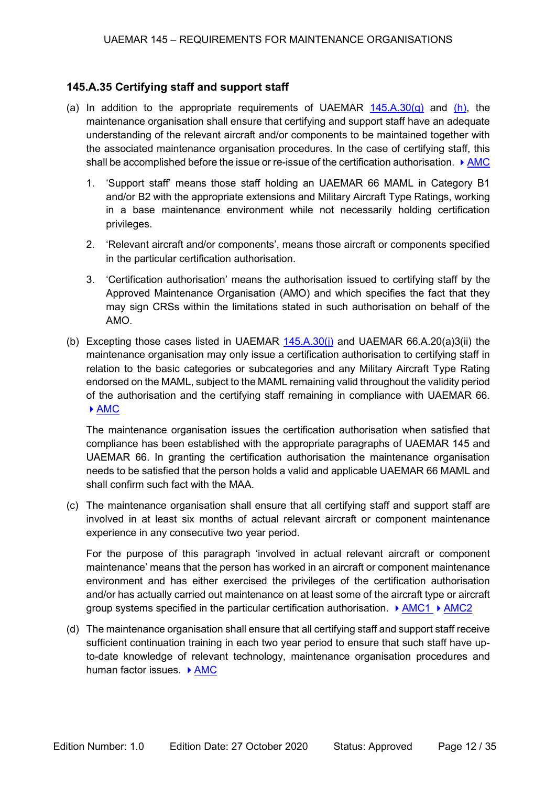#### <span id="page-11-0"></span>**145.A.35 Certifying staff and support staff**

- (a) In addition to the appropriate requirements of UAEMAR  $145.A.30(q)$  and (h), the maintenance organisation shall ensure that certifying and support staff have an adequate understanding of the relevant aircraft and/or components to be maintained together with the associated maintenance organisation procedures. In the case of certifying staff, this shall be accomplished before the issue or re-issue of the certification authorisation.  $\triangleright$  AMC
	- 1. 'Support staff' means those staff holding an UAEMAR 66 MAML in Category B1 and/or B2 with the appropriate extensions and Military Aircraft Type Ratings, working in a base maintenance environment while not necessarily holding certification privileges.
	- 2. 'Relevant aircraft and/or components', means those aircraft or components specified in the particular certification authorisation.
	- 3. 'Certification authorisation' means the authorisation issued to certifying staff by the Approved Maintenance Organisation (AMO) and which specifies the fact that they may sign CRSs within the limitations stated in such authorisation on behalf of the AMO.
- (b) Excepting those cases listed in UAEMAR  $145.A.30(i)$  and UAEMAR 66.A.20(a)3(ii) the maintenance organisation may only issue a certification authorisation to certifying staff in relation to the basic categories or subcategories and any Military Aircraft Type Rating endorsed on the MAML, subject to the MAML remaining valid throughout the validity period of the authorisation and the certifying staff remaining in compliance with UAEMAR 66. AMC

The maintenance organisation issues the certification authorisation when satisfied that compliance has been established with the appropriate paragraphs of UAEMAR 145 and UAEMAR 66. In granting the certification authorisation the maintenance organisation needs to be satisfied that the person holds a valid and applicable UAEMAR 66 MAML and shall confirm such fact with the MAA.

(c) The maintenance organisation shall ensure that all certifying staff and support staff are involved in at least six months of actual relevant aircraft or component maintenance experience in any consecutive two year period.

For the purpose of this paragraph 'involved in actual relevant aircraft or component maintenance' means that the person has worked in an aircraft or component maintenance environment and has either exercised the privileges of the certification authorisation and/or has actually carried out maintenance on at least some of the aircraft type or aircraft group systems specified in the particular certification authorisation.  $\triangleright$  AMC1  $\triangleright$  AMC2

(d) The maintenance organisation shall ensure that all certifying staff and support staff receive sufficient continuation training in each two year period to ensure that such staff have upto-date knowledge of relevant technology, maintenance organisation procedures and human factor issues. ▶ AMC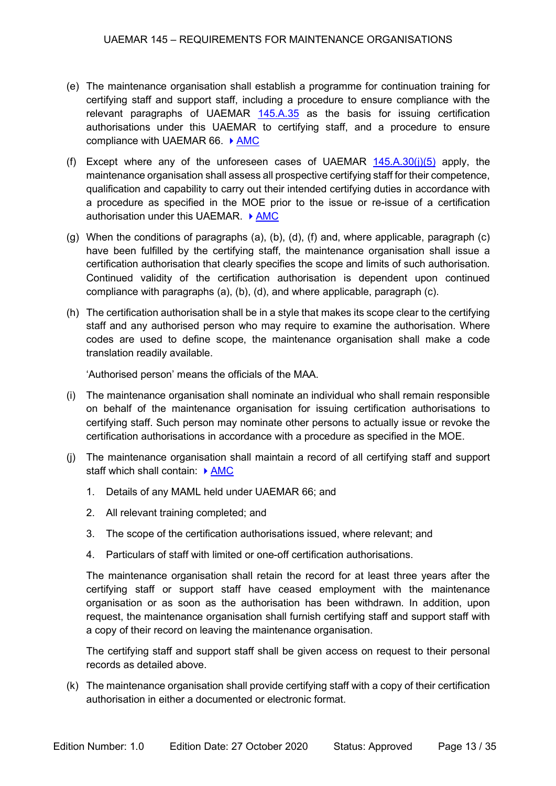- (e) The maintenance organisation shall establish a programme for continuation training for certifying staff and support staff, including a procedure to ensure compliance with the relevant paragraphs of UAEMAR 145.A.35 as the basis for issuing certification authorisations under this UAEMAR to certifying staff, and a procedure to ensure compliance with UAEMAR 66.  $\rightarrow$  AMC
- (f) Except where any of the unforeseen cases of UAEMAR  $145.A.30(i)(5)$  apply, the maintenance organisation shall assess all prospective certifying staff for their competence, qualification and capability to carry out their intended certifying duties in accordance with a procedure as specified in the MOE prior to the issue or re-issue of a certification authorisation under this UAEMAR.  $\triangleright$  AMC
- (g) When the conditions of paragraphs (a), (b), (d), (f) and, where applicable, paragraph (c) have been fulfilled by the certifying staff, the maintenance organisation shall issue a certification authorisation that clearly specifies the scope and limits of such authorisation. Continued validity of the certification authorisation is dependent upon continued compliance with paragraphs (a), (b), (d), and where applicable, paragraph (c).
- (h) The certification authorisation shall be in a style that makes its scope clear to the certifying staff and any authorised person who may require to examine the authorisation. Where codes are used to define scope, the maintenance organisation shall make a code translation readily available.

'Authorised person' means the officials of the MAA.

- (i) The maintenance organisation shall nominate an individual who shall remain responsible on behalf of the maintenance organisation for issuing certification authorisations to certifying staff. Such person may nominate other persons to actually issue or revoke the certification authorisations in accordance with a procedure as specified in the MOE.
- (j) The maintenance organisation shall maintain a record of all certifying staff and support staff which shall contain:  $\triangleright$  AMC
	- 1. Details of any MAML held under UAEMAR 66; and
	- 2. All relevant training completed; and
	- 3. The scope of the certification authorisations issued, where relevant; and
	- 4. Particulars of staff with limited or one-off certification authorisations.

The maintenance organisation shall retain the record for at least three years after the certifying staff or support staff have ceased employment with the maintenance organisation or as soon as the authorisation has been withdrawn. In addition, upon request, the maintenance organisation shall furnish certifying staff and support staff with a copy of their record on leaving the maintenance organisation.

The certifying staff and support staff shall be given access on request to their personal records as detailed above.

(k) The maintenance organisation shall provide certifying staff with a copy of their certification authorisation in either a documented or electronic format.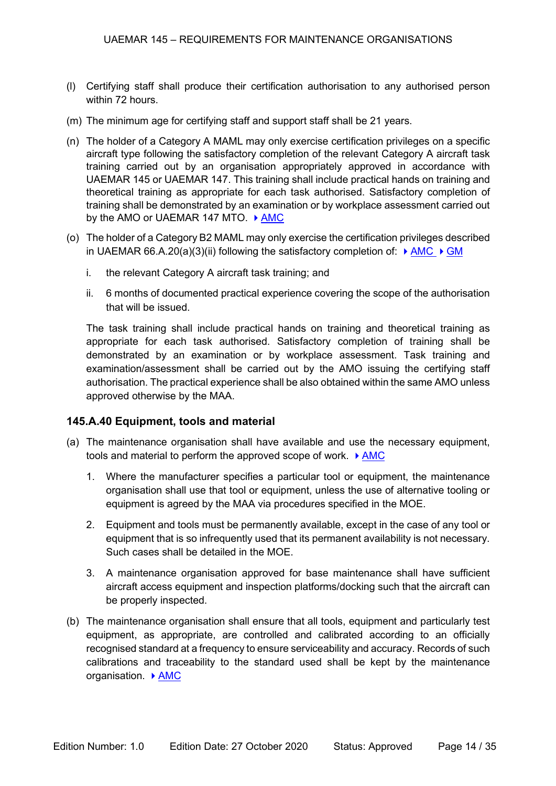- (l) Certifying staff shall produce their certification authorisation to any authorised person within 72 hours.
- (m) The minimum age for certifying staff and support staff shall be 21 years.
- (n) The holder of a Category A MAML may only exercise certification privileges on a specific aircraft type following the satisfactory completion of the relevant Category A aircraft task training carried out by an organisation appropriately approved in accordance with UAEMAR 145 or UAEMAR 147. This training shall include practical hands on training and theoretical training as appropriate for each task authorised. Satisfactory completion of training shall be demonstrated by an examination or by workplace assessment carried out by the AMO or UAEMAR 147 MTO.  $\rightarrow$  AMC
- (o) The holder of a Category B2 MAML may only exercise the certification privileges described in UAEMAR 66.A.20(a)(3)(ii) following the satisfactory completion of:  $\rightarrow$  AMC  $\rightarrow$  GM
	- i. the relevant Category A aircraft task training; and
	- ii. 6 months of documented practical experience covering the scope of the authorisation that will be issued.

The task training shall include practical hands on training and theoretical training as appropriate for each task authorised. Satisfactory completion of training shall be demonstrated by an examination or by workplace assessment. Task training and examination/assessment shall be carried out by the AMO issuing the certifying staff authorisation. The practical experience shall be also obtained within the same AMO unless approved otherwise by the MAA.

#### <span id="page-13-0"></span>**145.A.40 Equipment, tools and material**

- (a) The maintenance organisation shall have available and use the necessary equipment, tools and material to perform the approved scope of work.  $\triangleright$  AMC
	- 1. Where the manufacturer specifies a particular tool or equipment, the maintenance organisation shall use that tool or equipment, unless the use of alternative tooling or equipment is agreed by the MAA via procedures specified in the MOE.
	- 2. Equipment and tools must be permanently available, except in the case of any tool or equipment that is so infrequently used that its permanent availability is not necessary. Such cases shall be detailed in the MOE.
	- 3. A maintenance organisation approved for base maintenance shall have sufficient aircraft access equipment and inspection platforms/docking such that the aircraft can be properly inspected.
- <span id="page-13-1"></span>(b) The maintenance organisation shall ensure that all tools, equipment and particularly test equipment, as appropriate, are controlled and calibrated according to an officially recognised standard at a frequency to ensure serviceability and accuracy. Records of such calibrations and traceability to the standard used shall be kept by the maintenance organisation.  $\triangleright$  AMC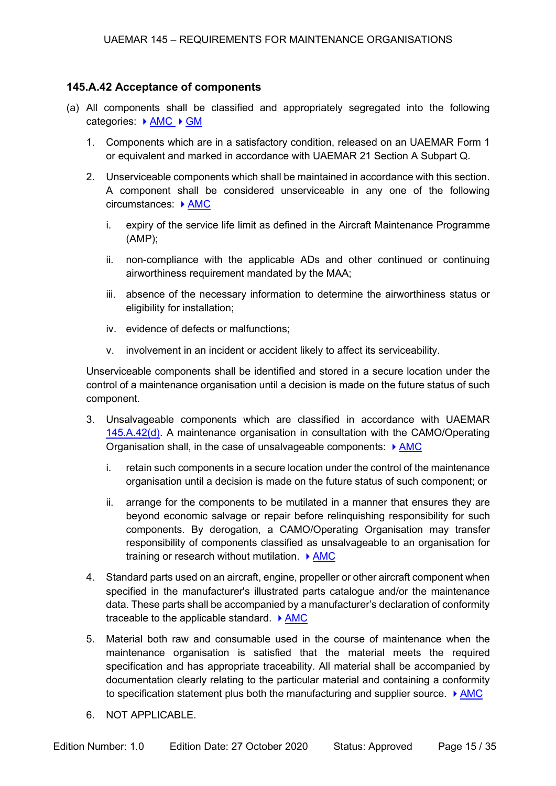#### **145.A.42 Acceptance of components**

- (a) All components shall be classified and appropriately segregated into the following categories: ▶ AMC ▶ GM
	- 1. Components which are in a satisfactory condition, released on an UAEMAR Form 1 or equivalent and marked in accordance with UAEMAR 21 Section A Subpart Q.
	- 2. Unserviceable components which shall be maintained in accordance with this section. A component shall be considered unserviceable in any one of the following circumstances: AMC
		- i. expiry of the service life limit as defined in the Aircraft Maintenance Programme (AMP);
		- ii. non-compliance with the applicable ADs and other continued or continuing airworthiness requirement mandated by the MAA;
		- iii. absence of the necessary information to determine the airworthiness status or eligibility for installation;
		- iv. evidence of defects or malfunctions;
		- v. involvement in an incident or accident likely to affect its serviceability.

Unserviceable components shall be identified and stored in a secure location under the control of a maintenance organisation until a decision is made on the future status of such component.

- 3. Unsalvageable components which are classified in accordance with UAEMAR 145.A.42(d). A maintenance organisation in consultation with the CAMO/Operating Organisation shall, in the case of unsalvageable components: ▶ AMC
	- i. retain such components in a secure location under the control of the maintenance organisation until a decision is made on the future status of such component; or
	- ii. arrange for the components to be mutilated in a manner that ensures they are beyond economic salvage or repair before relinquishing responsibility for such components. By derogation, a CAMO/Operating Organisation may transfer responsibility of components classified as unsalvageable to an organisation for training or research without mutilation.  $\triangleright$  AMC
- 4. Standard parts used on an aircraft, engine, propeller or other aircraft component when specified in the manufacturer's illustrated parts catalogue and/or the maintenance data. These parts shall be accompanied by a manufacturer's declaration of conformity traceable to the applicable standard.  $\triangleright$  AMC
- 5. Material both raw and consumable used in the course of maintenance when the maintenance organisation is satisfied that the material meets the required specification and has appropriate traceability. All material shall be accompanied by documentation clearly relating to the particular material and containing a conformity to specification statement plus both the manufacturing and supplier source.  $\triangleright$  AMC
- 6. NOT APPLICABLE.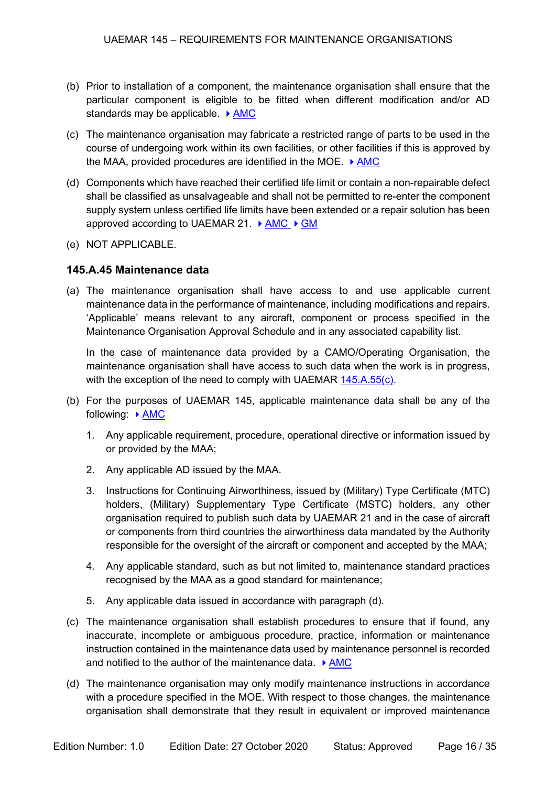- (b) Prior to installation of a component, the maintenance organisation shall ensure that the particular component is eligible to be fitted when different modification and/or AD standards may be applicable.  $\triangleright$  AMC
- (c) The maintenance organisation may fabricate a restricted range of parts to be used in the course of undergoing work within its own facilities, or other facilities if this is approved by the MAA, provided procedures are identified in the MOE.  $\triangleright$  AMC
- (d) Components which have reached their certified life limit or contain a non-repairable defect shall be classified as unsalvageable and shall not be permitted to re-enter the component supply system unless certified life limits have been extended or a repair solution has been approved according to UAEMAR 21.  $\rightarrow$  AMC  $\rightarrow$  GM
- (e) NOT APPLICABLE.

#### <span id="page-15-0"></span>**145.A.45 Maintenance data**

(a) The maintenance organisation shall have access to and use applicable current maintenance data in the performance of maintenance, including modifications and repairs. 'Applicable' means relevant to any aircraft, component or process specified in the Maintenance Organisation Approval Schedule and in any associated capability list.

In the case of maintenance data provided by a CAMO/Operating Organisation, the maintenance organisation shall have access to such data when the work is in progress, with the exception of the need to comply with UAEMAR 145.A.55(c).

- (b) For the purposes of UAEMAR 145, applicable maintenance data shall be any of the following: ▶ AMC
	- 1. Any applicable requirement, procedure, operational directive or information issued by or provided by the MAA;
	- 2. Any applicable AD issued by the MAA.
	- 3. Instructions for Continuing Airworthiness, issued by (Military) Type Certificate (MTC) holders, (Military) Supplementary Type Certificate (MSTC) holders, any other organisation required to publish such data by UAEMAR 21 and in the case of aircraft or components from third countries the airworthiness data mandated by the Authority responsible for the oversight of the aircraft or component and accepted by the MAA;
	- 4. Any applicable standard, such as but not limited to, maintenance standard practices recognised by the MAA as a good standard for maintenance;
	- 5. Any applicable data issued in accordance with paragraph (d).
- (c) The maintenance organisation shall establish procedures to ensure that if found, any inaccurate, incomplete or ambiguous procedure, practice, information or maintenance instruction contained in the maintenance data used by maintenance personnel is recorded and notified to the author of the maintenance data.  $\triangleright$  AMC
- (d) The maintenance organisation may only modify maintenance instructions in accordance with a procedure specified in the MOE. With respect to those changes, the maintenance organisation shall demonstrate that they result in equivalent or improved maintenance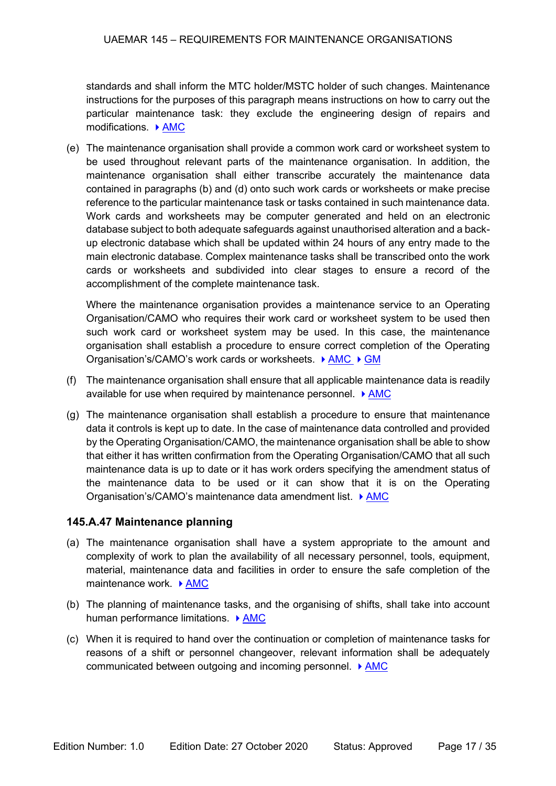standards and shall inform the MTC holder/MSTC holder of such changes. Maintenance instructions for the purposes of this paragraph means instructions on how to carry out the particular maintenance task: they exclude the engineering design of repairs and modifications. AMC

(e) The maintenance organisation shall provide a common work card or worksheet system to be used throughout relevant parts of the maintenance organisation. In addition, the maintenance organisation shall either transcribe accurately the maintenance data contained in paragraphs (b) and (d) onto such work cards or worksheets or make precise reference to the particular maintenance task or tasks contained in such maintenance data. Work cards and worksheets may be computer generated and held on an electronic database subject to both adequate safeguards against unauthorised alteration and a backup electronic database which shall be updated within 24 hours of any entry made to the main electronic database. Complex maintenance tasks shall be transcribed onto the work cards or worksheets and subdivided into clear stages to ensure a record of the accomplishment of the complete maintenance task.

Where the maintenance organisation provides a maintenance service to an Operating Organisation/CAMO who requires their work card or worksheet system to be used then such work card or worksheet system may be used. In this case, the maintenance organisation shall establish a procedure to ensure correct completion of the Operating Organisation's/CAMO's work cards or worksheets.  $\triangleright$  AMC  $\triangleright$  GM

- (f) The maintenance organisation shall ensure that all applicable maintenance data is readily available for use when required by maintenance personnel.  $\triangleright$  AMC
- (g) The maintenance organisation shall establish a procedure to ensure that maintenance data it controls is kept up to date. In the case of maintenance data controlled and provided by the Operating Organisation/CAMO, the maintenance organisation shall be able to show that either it has written confirmation from the Operating Organisation/CAMO that all such maintenance data is up to date or it has work orders specifying the amendment status of the maintenance data to be used or it can show that it is on the Operating Organisation's/CAMO's maintenance data amendment list. ▶ AMC

#### <span id="page-16-0"></span>**145.A.47 Maintenance planning**

- (a) The maintenance organisation shall have a system appropriate to the amount and complexity of work to plan the availability of all necessary personnel, tools, equipment, material, maintenance data and facilities in order to ensure the safe completion of the maintenance work.  $\triangleright$  AMC
- (b) The planning of maintenance tasks, and the organising of shifts, shall take into account human performance limitations.  $\triangleright$  AMC
- <span id="page-16-1"></span>(c) When it is required to hand over the continuation or completion of maintenance tasks for reasons of a shift or personnel changeover, relevant information shall be adequately communicated between outgoing and incoming personnel.  $\triangleright$  AMC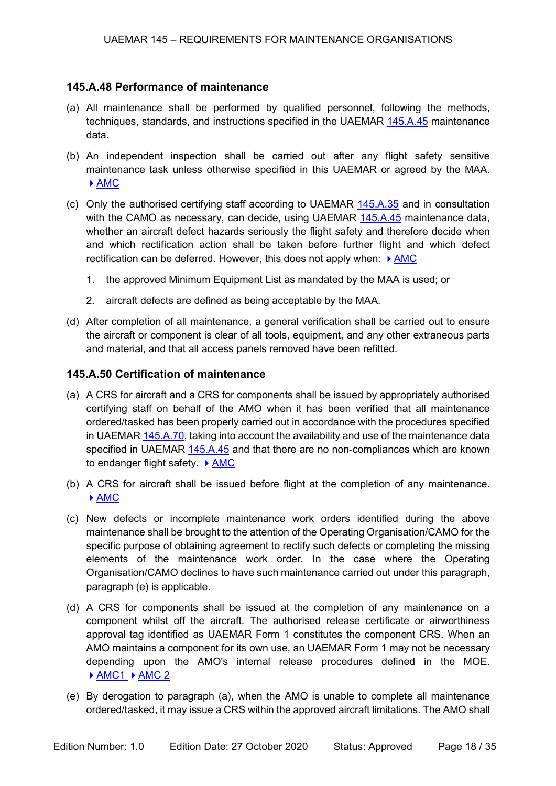#### **145.A.48 Performance of maintenance**

- (a) All maintenance shall be performed by qualified personnel, following the methods, techniques, standards, and instructions specified in the UAEMAR 145.A.45 maintenance data.
- (b) An independent inspection shall be carried out after any flight safety sensitive maintenance task unless otherwise specified in this UAEMAR or agreed by the MAA. AMC
- (c) Only the authorised certifying staff according to UAEMAR 145.A.35 and in consultation with the CAMO as necessary, can decide, using UAEMAR 145.A.45 maintenance data, whether an aircraft defect hazards seriously the flight safety and therefore decide when and which rectification action shall be taken before further flight and which defect rectification can be deferred. However, this does not apply when:  $\triangleright$  AMC
	- 1. the approved Minimum Equipment List as mandated by the MAA is used; or
	- 2. aircraft defects are defined as being acceptable by the MAA.
- (d) After completion of all maintenance, a general verification shall be carried out to ensure the aircraft or component is clear of all tools, equipment, and any other extraneous parts and material, and that all access panels removed have been refitted.

#### <span id="page-17-0"></span>**145.A.50 Certification of maintenance**

- (a) A CRS for aircraft and a CRS for components shall be issued by appropriately authorised certifying staff on behalf of the AMO when it has been verified that all maintenance ordered/tasked has been properly carried out in accordance with the procedures specified in UAEMAR 145.A.70, taking into account the availability and use of the maintenance data specified in UAEMAR 145.A.45 and that there are no non-compliances which are known to endanger flight safety.  $\triangleright$  AMC
- (b) A CRS for aircraft shall be issued before flight at the completion of any maintenance. AMC
- (c) New defects or incomplete maintenance work orders identified during the above maintenance shall be brought to the attention of the Operating Organisation/CAMO for the specific purpose of obtaining agreement to rectify such defects or completing the missing elements of the maintenance work order. In the case where the Operating Organisation/CAMO declines to have such maintenance carried out under this paragraph, paragraph (e) is applicable.
- (d) A CRS for components shall be issued at the completion of any maintenance on a component whilst off the aircraft. The authorised release certificate or airworthiness approval tag identified as UAEMAR Form 1 constitutes the component CRS. When an AMO maintains a component for its own use, an UAEMAR Form 1 may not be necessary depending upon the AMO's internal release procedures defined in the MOE.  $\rightarrow$  AMC1  $\rightarrow$  AMC 2
- (e) By derogation to paragraph (a), when the AMO is unable to complete all maintenance ordered/tasked, it may issue a CRS within the approved aircraft limitations. The AMO shall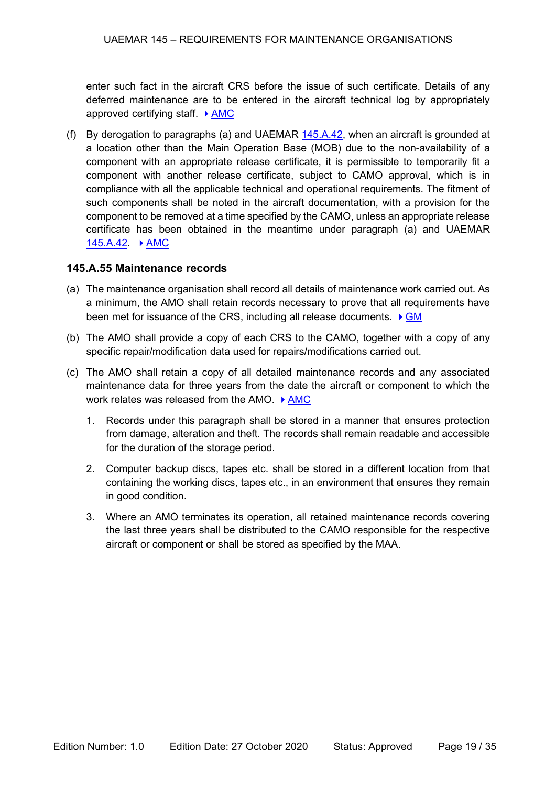enter such fact in the aircraft CRS before the issue of such certificate. Details of any deferred maintenance are to be entered in the aircraft technical log by appropriately approved certifying staff.  $\triangleright$  AMC

(f) By derogation to paragraphs (a) and UAEMAR 145.A.42, when an aircraft is grounded at a location other than the Main Operation Base (MOB) due to the non-availability of a component with an appropriate release certificate, it is permissible to temporarily fit a component with another release certificate, subject to CAMO approval, which is in compliance with all the applicable technical and operational requirements. The fitment of such components shall be noted in the aircraft documentation, with a provision for the component to be removed at a time specified by the CAMO, unless an appropriate release certificate has been obtained in the meantime under paragraph (a) and UAEMAR 145.A.42. AMC

#### <span id="page-18-0"></span>**145.A.55 Maintenance records**

- (a) The maintenance organisation shall record all details of maintenance work carried out. As a minimum, the AMO shall retain records necessary to prove that all requirements have been met for issuance of the CRS, including all release documents.  $\triangleright$  GM
- (b) The AMO shall provide a copy of each CRS to the CAMO, together with a copy of any specific repair/modification data used for repairs/modifications carried out.
- <span id="page-18-1"></span>(c) The AMO shall retain a copy of all detailed maintenance records and any associated maintenance data for three years from the date the aircraft or component to which the work relates was released from the AMO.  $\rightarrow$  AMC
	- 1. Records under this paragraph shall be stored in a manner that ensures protection from damage, alteration and theft. The records shall remain readable and accessible for the duration of the storage period.
	- 2. Computer backup discs, tapes etc. shall be stored in a different location from that containing the working discs, tapes etc., in an environment that ensures they remain in good condition.
	- 3. Where an AMO terminates its operation, all retained maintenance records covering the last three years shall be distributed to the CAMO responsible for the respective aircraft or component or shall be stored as specified by the MAA.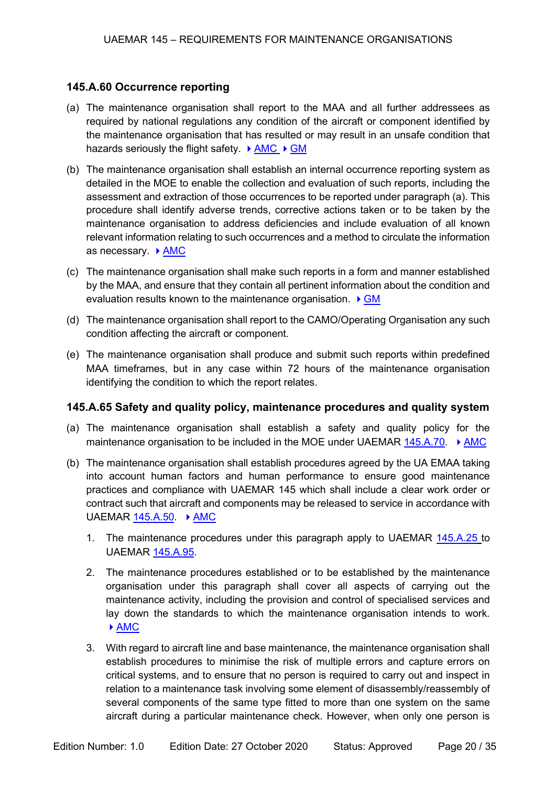#### **145.A.60 Occurrence reporting**

- (a) The maintenance organisation shall report to the MAA and all further addressees as required by national regulations any condition of the aircraft or component identified by the maintenance organisation that has resulted or may result in an unsafe condition that hazards seriously the flight safety.  $\triangleright$  AMC  $\triangleright$  GM
- (b) The maintenance organisation shall establish an internal occurrence reporting system as detailed in the MOE to enable the collection and evaluation of such reports, including the assessment and extraction of those occurrences to be reported under paragraph (a). This procedure shall identify adverse trends, corrective actions taken or to be taken by the maintenance organisation to address deficiencies and include evaluation of all known relevant information relating to such occurrences and a method to circulate the information as necessary.  $\triangleright$  AMC
- (c) The maintenance organisation shall make such reports in a form and manner established by the MAA, and ensure that they contain all pertinent information about the condition and evaluation results known to the maintenance organisation.  $\triangleright$  GM
- (d) The maintenance organisation shall report to the CAMO/Operating Organisation any such condition affecting the aircraft or component.
- (e) The maintenance organisation shall produce and submit such reports within predefined MAA timeframes, but in any case within 72 hours of the maintenance organisation identifying the condition to which the report relates.

#### <span id="page-19-0"></span>**145.A.65 Safety and quality policy, maintenance procedures and quality system**

- (a) The maintenance organisation shall establish a safety and quality policy for the maintenance organisation to be included in the MOE under UAEMAR  $145.A.70.$  AMC
- (b) The maintenance organisation shall establish procedures agreed by the UA EMAA taking into account human factors and human performance to ensure good maintenance practices and compliance with UAEMAR 145 which shall include a clear work order or contract such that aircraft and components may be released to service in accordance with UAEMAR 145.A.50 ▶ AMC
	- 1. The maintenance procedures under this paragraph apply to UAEMAR 145.A.25 to UAEMAR 145.A.95.
	- 2. The maintenance procedures established or to be established by the maintenance organisation under this paragraph shall cover all aspects of carrying out the maintenance activity, including the provision and control of specialised services and lay down the standards to which the maintenance organisation intends to work. ▶ AMC
	- 3. With regard to aircraft line and base maintenance, the maintenance organisation shall establish procedures to minimise the risk of multiple errors and capture errors on critical systems, and to ensure that no person is required to carry out and inspect in relation to a maintenance task involving some element of disassembly/reassembly of several components of the same type fitted to more than one system on the same aircraft during a particular maintenance check. However, when only one person is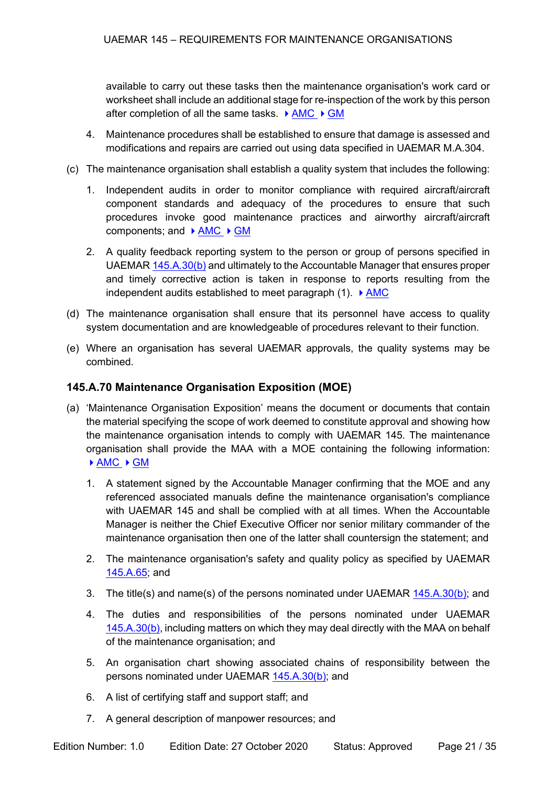available to carry out these tasks then the maintenance organisation's work card or worksheet shall include an additional stage for re-inspection of the work by this person after completion of all the same tasks.  $\rightarrow$  AMC  $\rightarrow$  GM

- 4. Maintenance procedures shall be established to ensure that damage is assessed and modifications and repairs are carried out using data specified in UAEMAR M.A.304.
- (c) The maintenance organisation shall establish a quality system that includes the following:
	- 1. Independent audits in order to monitor compliance with required aircraft/aircraft component standards and adequacy of the procedures to ensure that such procedures invoke good maintenance practices and airworthy aircraft/aircraft components; and  $\rightarrow$  AMC  $\rightarrow$  GM
	- 2. A quality feedback reporting system to the person or group of persons specified in UAEMAR 145.A.30(b) and ultimately to the Accountable Manager that ensures proper and timely corrective action is taken in response to reports resulting from the independent audits established to meet paragraph  $(1)$ . AMC
- (d) The maintenance organisation shall ensure that its personnel have access to quality system documentation and are knowledgeable of procedures relevant to their function.
- (e) Where an organisation has several UAEMAR approvals, the quality systems may be combined.

#### <span id="page-20-0"></span>**145.A.70 Maintenance Organisation Exposition (MOE)**

- (a) 'Maintenance Organisation Exposition' means the document or documents that contain the material specifying the scope of work deemed to constitute approval and showing how the maintenance organisation intends to comply with UAEMAR 145. The maintenance organisation shall provide the MAA with a MOE containing the following information:  $\triangleright$  AMC  $\triangleright$  GM
	- 1. A statement signed by the Accountable Manager confirming that the MOE and any referenced associated manuals define the maintenance organisation's compliance with UAEMAR 145 and shall be complied with at all times. When the Accountable Manager is neither the Chief Executive Officer nor senior military commander of the maintenance organisation then one of the latter shall countersign the statement; and
	- 2. The maintenance organisation's safety and quality policy as specified by UAEMAR 145.A.65; and
	- 3. The title(s) and name(s) of the persons nominated under UAEMAR 145.A.30(b); and
	- 4. The duties and responsibilities of the persons nominated under UAEMAR 145.A.30(b), including matters on which they may deal directly with the MAA on behalf of the maintenance organisation; and
	- 5. An organisation chart showing associated chains of responsibility between the persons nominated under UAEMAR 145.A.30(b); and
	- 6. A list of certifying staff and support staff; and
	- 7. A general description of manpower resources; and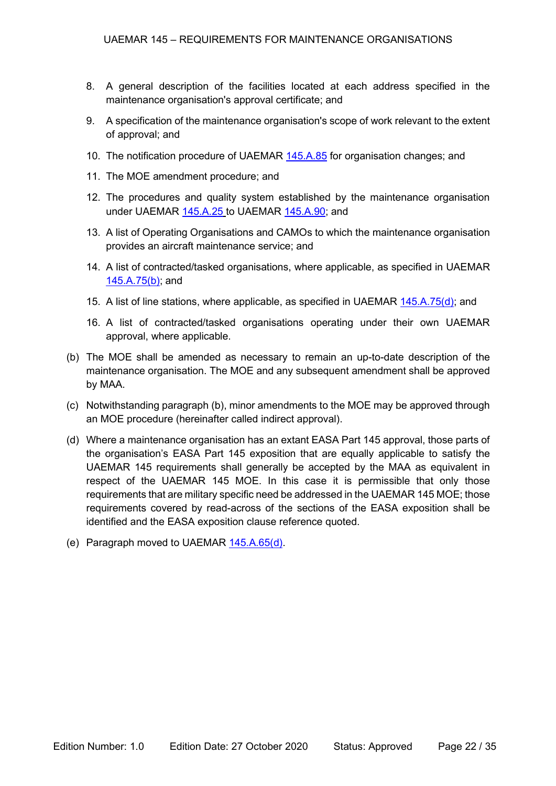- 8. A general description of the facilities located at each address specified in the maintenance organisation's approval certificate; and
- 9. A specification of the maintenance organisation's scope of work relevant to the extent of approval; and
- 10. The notification procedure of UAEMAR 145.A.85 for organisation changes; and
- 11. The MOE amendment procedure; and
- 12. The procedures and quality system established by the maintenance organisation under UAEMAR 145.A.25 to UAEMAR 145.A.90; and
- 13. A list of Operating Organisations and CAMOs to which the maintenance organisation provides an aircraft maintenance service; and
- 14. A list of contracted/tasked organisations, where applicable, as specified in UAEMAR 145.A.75(b); and
- 15. A list of line stations, where applicable, as specified in UAEMAR 145.A.75(d); and
- 16. A list of contracted/tasked organisations operating under their own UAEMAR approval, where applicable.
- (b) The MOE shall be amended as necessary to remain an up-to-date description of the maintenance organisation. The MOE and any subsequent amendment shall be approved by MAA.
- (c) Notwithstanding paragraph (b), minor amendments to the MOE may be approved through an MOE procedure (hereinafter called indirect approval).
- (d) Where a maintenance organisation has an extant EASA Part 145 approval, those parts of the organisation's EASA Part 145 exposition that are equally applicable to satisfy the UAEMAR 145 requirements shall generally be accepted by the MAA as equivalent in respect of the UAEMAR 145 MOE. In this case it is permissible that only those requirements that are military specific need be addressed in the UAEMAR 145 MOE; those requirements covered by read-across of the sections of the EASA exposition shall be identified and the EASA exposition clause reference quoted.
- <span id="page-21-0"></span>(e) Paragraph moved to UAEMAR 145.A.65(d).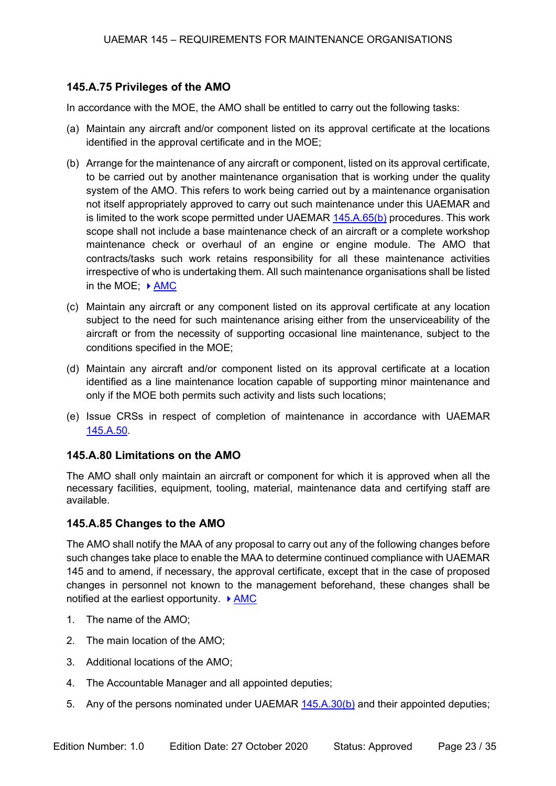#### **145.A.75 Privileges of the AMO**

In accordance with the MOE, the AMO shall be entitled to carry out the following tasks:

- (a) Maintain any aircraft and/or component listed on its approval certificate at the locations identified in the approval certificate and in the MOE;
- (b) Arrange for the maintenance of any aircraft or component, listed on its approval certificate, to be carried out by another maintenance organisation that is working under the quality system of the AMO. This refers to work being carried out by a maintenance organisation not itself appropriately approved to carry out such maintenance under this UAEMAR and is limited to the work scope permitted under UAEMAR 145.A.65(b) procedures. This work scope shall not include a base maintenance check of an aircraft or a complete workshop maintenance check or overhaul of an engine or engine module. The AMO that contracts/tasks such work retains responsibility for all these maintenance activities irrespective of who is undertaking them. All such maintenance organisations shall be listed in the MOE:  $\triangleright$  AMC
- (c) Maintain any aircraft or any component listed on its approval certificate at any location subject to the need for such maintenance arising either from the unserviceability of the aircraft or from the necessity of supporting occasional line maintenance, subject to the conditions specified in the MOE;
- (d) Maintain any aircraft and/or component listed on its approval certificate at a location identified as a line maintenance location capable of supporting minor maintenance and only if the MOE both permits such activity and lists such locations;
- (e) Issue CRSs in respect of completion of maintenance in accordance with UAEMAR 145.A.50.

#### <span id="page-22-0"></span>**145.A.80 Limitations on the AMO**

The AMO shall only maintain an aircraft or component for which it is approved when all the necessary facilities, equipment, tooling, material, maintenance data and certifying staff are available.

#### <span id="page-22-1"></span>**145.A.85 Changes to the AMO**

The AMO shall notify the MAA of any proposal to carry out any of the following changes before such changes take place to enable the MAA to determine continued compliance with UAEMAR 145 and to amend, if necessary, the approval certificate, except that in the case of proposed changes in personnel not known to the management beforehand, these changes shall be notified at the earliest opportunity.  $\triangleright$  AMC

- 1. The name of the AMO;
- 2. The main location of the AMO;
- 3. Additional locations of the AMO;
- 4. The Accountable Manager and all appointed deputies;
- 5. Any of the persons nominated under UAEMAR 145.A.30(b) and their appointed deputies;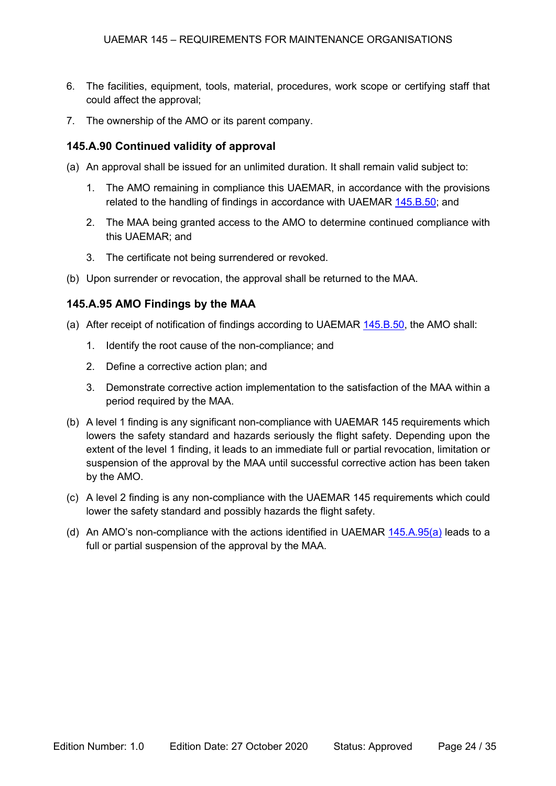- 6. The facilities, equipment, tools, material, procedures, work scope or certifying staff that could affect the approval;
- <span id="page-23-0"></span>7. The ownership of the AMO or its parent company.

#### **145.A.90 Continued validity of approval**

- (a) An approval shall be issued for an unlimited duration. It shall remain valid subject to:
	- 1. The AMO remaining in compliance this UAEMAR, in accordance with the provisions related to the handling of findings in accordance with UAEMAR 145.B.50; and
	- 2. The MAA being granted access to the AMO to determine continued compliance with this UAEMAR; and
	- 3. The certificate not being surrendered or revoked.
- (b) Upon surrender or revocation, the approval shall be returned to the MAA.

#### <span id="page-23-1"></span>**145.A.95 AMO Findings by the MAA**

- (a) After receipt of notification of findings according to UAEMAR 145.B.50, the AMO shall:
	- 1. Identify the root cause of the non-compliance; and
	- 2. Define a corrective action plan; and
	- 3. Demonstrate corrective action implementation to the satisfaction of the MAA within a period required by the MAA.
- (b) A level 1 finding is any significant non-compliance with UAEMAR 145 requirements which lowers the safety standard and hazards seriously the flight safety. Depending upon the extent of the level 1 finding, it leads to an immediate full or partial revocation, limitation or suspension of the approval by the MAA until successful corrective action has been taken by the AMO.
- (c) A level 2 finding is any non-compliance with the UAEMAR 145 requirements which could lower the safety standard and possibly hazards the flight safety.
- (d) An AMO's non-compliance with the actions identified in UAEMAR  $145.A.95(a)$  leads to a full or partial suspension of the approval by the MAA.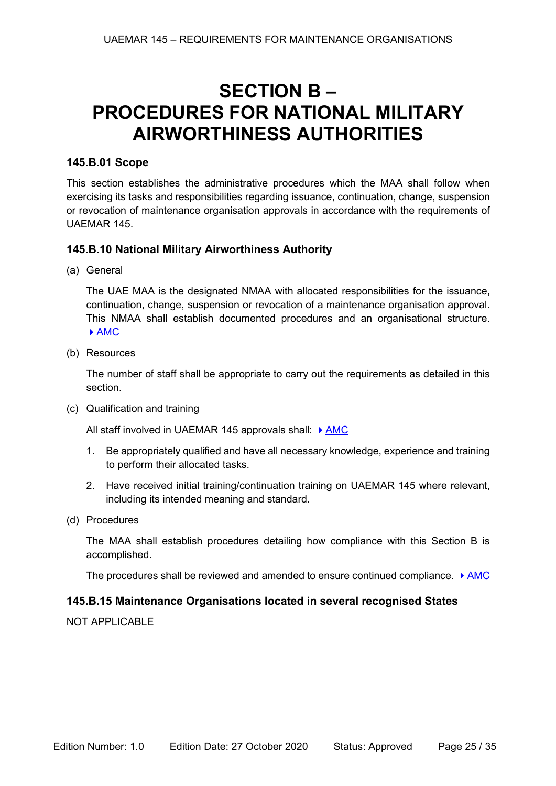## <span id="page-24-0"></span>**SECTION B – PROCEDURES FOR NATIONAL MILITARY AIRWORTHINESS AUTHORITIES**

#### <span id="page-24-1"></span>**145.B.01 Scope**

This section establishes the administrative procedures which the MAA shall follow when exercising its tasks and responsibilities regarding issuance, continuation, change, suspension or revocation of maintenance organisation approvals in accordance with the requirements of UAEMAR 145.

#### <span id="page-24-2"></span>**145.B.10 National Military Airworthiness Authority**

(a) General

The UAE MAA is the designated NMAA with allocated responsibilities for the issuance, continuation, change, suspension or revocation of a maintenance organisation approval. This NMAA shall establish documented procedures and an organisational structure. AMC

(b) Resources

The number of staff shall be appropriate to carry out the requirements as detailed in this section.

(c) Qualification and training

All staff involved in UAEMAR 145 approvals shall:  $\triangleright$  AMC

- 1. Be appropriately qualified and have all necessary knowledge, experience and training to perform their allocated tasks.
- 2. Have received initial training/continuation training on UAEMAR 145 where relevant, including its intended meaning and standard.
- (d) Procedures

The MAA shall establish procedures detailing how compliance with this Section B is accomplished.

The procedures shall be reviewed and amended to ensure continued compliance.  $\triangleright$  AMC

#### <span id="page-24-3"></span>**145.B.15 Maintenance Organisations located in several recognised States**

NOT APPLICABLE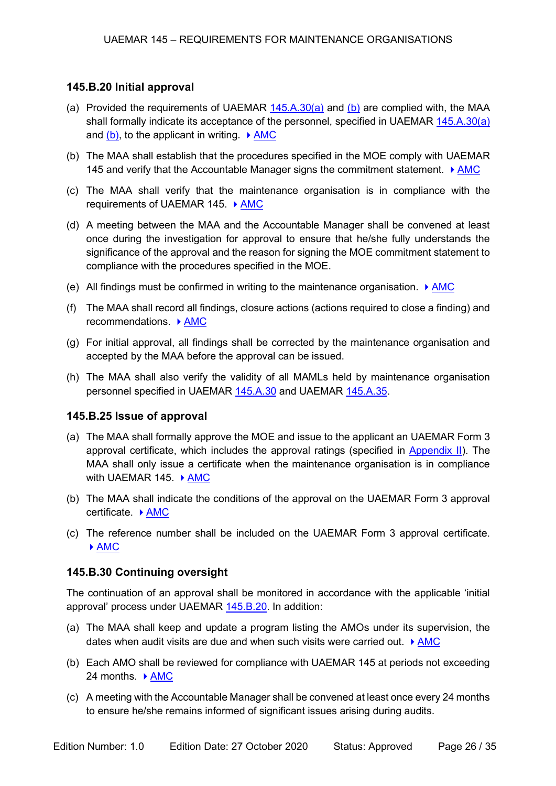#### <span id="page-25-0"></span>**145.B.20 Initial approval**

- (a) Provided the requirements of UAEMAR  $145.A.30(a)$  and (b) are complied with, the MAA shall formally indicate its acceptance of the personnel, specified in UAEMAR 145.A.30(a) and  $(b)$ , to the applicant in writing.  $\triangleright$  AMC
- (b) The MAA shall establish that the procedures specified in the MOE comply with UAEMAR 145 and verify that the Accountable Manager signs the commitment statement.  $\triangleright$  AMC
- (c) The MAA shall verify that the maintenance organisation is in compliance with the requirements of UAEMAR 145. ▶ AMC
- (d) A meeting between the MAA and the Accountable Manager shall be convened at least once during the investigation for approval to ensure that he/she fully understands the significance of the approval and the reason for signing the MOE commitment statement to compliance with the procedures specified in the MOE.
- (e) All findings must be confirmed in writing to the maintenance organisation.  $\triangleright$  AMC
- (f) The MAA shall record all findings, closure actions (actions required to close a finding) and recommendations. ▶ AMC
- (g) For initial approval, all findings shall be corrected by the maintenance organisation and accepted by the MAA before the approval can be issued.
- (h) The MAA shall also verify the validity of all MAMLs held by maintenance organisation personnel specified in UAEMAR 145.A.30 and UAEMAR 145.A.35.

#### <span id="page-25-1"></span>**145.B.25 Issue of approval**

- (a) The MAA shall formally approve the MOE and issue to the applicant an UAEMAR Form 3 approval certificate, which includes the approval ratings (specified in Appendix II). The MAA shall only issue a certificate when the maintenance organisation is in compliance with UAEMAR 145. AMC
- (b) The MAA shall indicate the conditions of the approval on the UAEMAR Form 3 approval certificate. ▶ AMC
- (c) The reference number shall be included on the UAEMAR Form 3 approval certificate. AMC

#### <span id="page-25-2"></span>**145.B.30 Continuing oversight**

The continuation of an approval shall be monitored in accordance with the applicable 'initial approval' process under UAEMAR 145.B.20. In addition:

- (a) The MAA shall keep and update a program listing the AMOs under its supervision, the dates when audit visits are due and when such visits were carried out.  $\triangleright$  AMC
- (b) Each AMO shall be reviewed for compliance with UAEMAR 145 at periods not exceeding 24 months. ▶ AMC
- (c) A meeting with the Accountable Manager shall be convened at least once every 24 months to ensure he/she remains informed of significant issues arising during audits.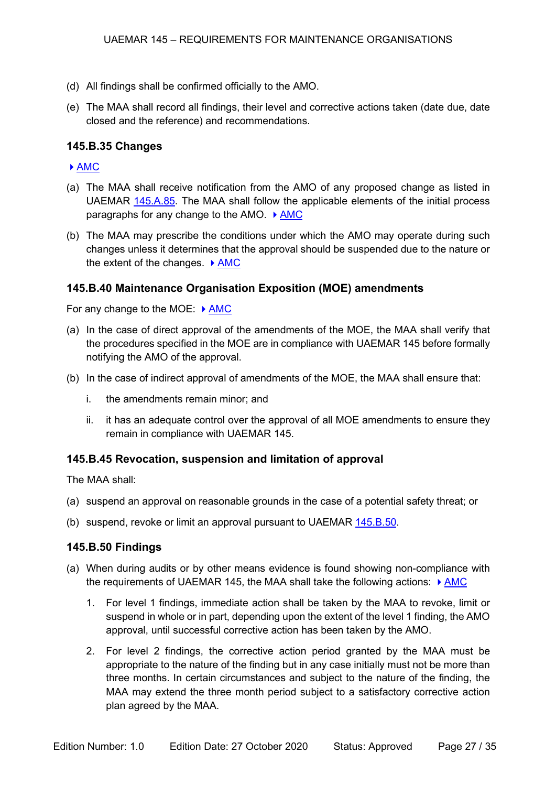- (d) All findings shall be confirmed officially to the AMO.
- (e) The MAA shall record all findings, their level and corrective actions taken (date due, date closed and the reference) and recommendations.

#### <span id="page-26-0"></span>**145.B.35 Changes**

#### ▶ AMC

- (a) The MAA shall receive notification from the AMO of any proposed change as listed in UAEMAR 145.A.85. The MAA shall follow the applicable elements of the initial process paragraphs for any change to the AMO.  $\triangleright$  AMC
- (b) The MAA may prescribe the conditions under which the AMO may operate during such changes unless it determines that the approval should be suspended due to the nature or the extent of the changes.  $\triangleright$  AMC

#### <span id="page-26-1"></span>**145.B.40 Maintenance Organisation Exposition (MOE) amendments**

For any change to the MOE:  $\rightarrow$  AMC

- (a) In the case of direct approval of the amendments of the MOE, the MAA shall verify that the procedures specified in the MOE are in compliance with UAEMAR 145 before formally notifying the AMO of the approval.
- (b) In the case of indirect approval of amendments of the MOE, the MAA shall ensure that:
	- i. the amendments remain minor; and
	- ii. it has an adequate control over the approval of all MOE amendments to ensure they remain in compliance with UAEMAR 145.

#### <span id="page-26-2"></span>**145.B.45 Revocation, suspension and limitation of approval**

The MAA shall:

- (a) suspend an approval on reasonable grounds in the case of a potential safety threat; or
- (b) suspend, revoke or limit an approval pursuant to UAEMAR 145.B.50.

#### <span id="page-26-3"></span>**145.B.50 Findings**

- (a) When during audits or by other means evidence is found showing non-compliance with the requirements of UAEMAR 145, the MAA shall take the following actions:  $\triangleright$  AMC
	- 1. For level 1 findings, immediate action shall be taken by the MAA to revoke, limit or suspend in whole or in part, depending upon the extent of the level 1 finding, the AMO approval, until successful corrective action has been taken by the AMO.
	- 2. For level 2 findings, the corrective action period granted by the MAA must be appropriate to the nature of the finding but in any case initially must not be more than three months. In certain circumstances and subject to the nature of the finding, the MAA may extend the three month period subject to a satisfactory corrective action plan agreed by the MAA.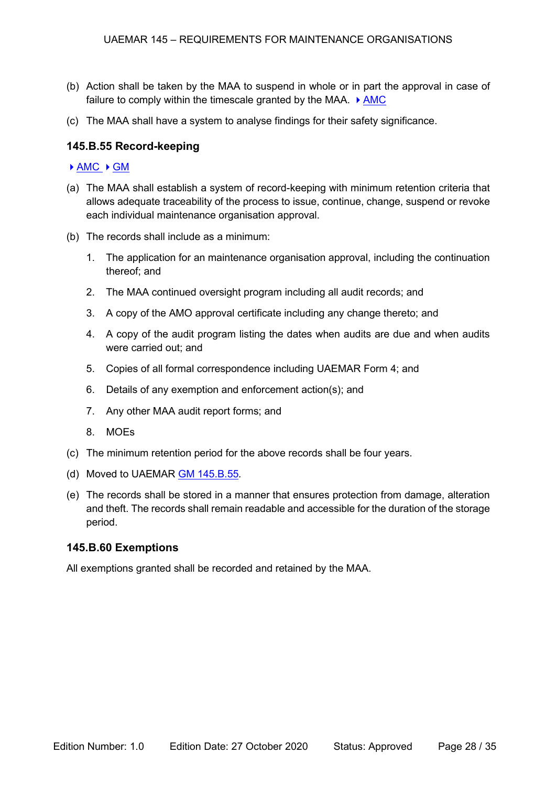- (b) Action shall be taken by the MAA to suspend in whole or in part the approval in case of failure to comply within the timescale granted by the MAA.  $\triangleright$  AMC
- (c) The MAA shall have a system to analyse findings for their safety significance.

#### <span id="page-27-0"></span>**145.B.55 Record-keeping**

#### $\rightarrow$  AMC  $\rightarrow$  GM

- (a) The MAA shall establish a system of record-keeping with minimum retention criteria that allows adequate traceability of the process to issue, continue, change, suspend or revoke each individual maintenance organisation approval.
- (b) The records shall include as a minimum:
	- 1. The application for an maintenance organisation approval, including the continuation thereof; and
	- 2. The MAA continued oversight program including all audit records; and
	- 3. A copy of the AMO approval certificate including any change thereto; and
	- 4. A copy of the audit program listing the dates when audits are due and when audits were carried out; and
	- 5. Copies of all formal correspondence including UAEMAR Form 4; and
	- 6. Details of any exemption and enforcement action(s); and
	- 7. Any other MAA audit report forms; and
	- 8. MOEs
- (c) The minimum retention period for the above records shall be four years.
- (d) Moved to UAEMAR GM 145.B.55*.*
- (e) The records shall be stored in a manner that ensures protection from damage, alteration and theft. The records shall remain readable and accessible for the duration of the storage period.

#### <span id="page-27-1"></span>**145.B.60 Exemptions**

All exemptions granted shall be recorded and retained by the MAA.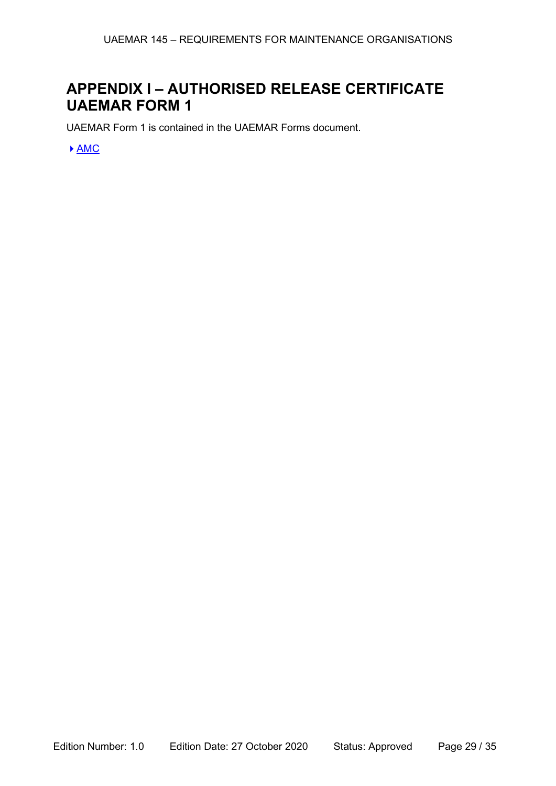### <span id="page-28-0"></span>**APPENDIX I – AUTHORISED RELEASE CERTIFICATE UAEMAR FORM 1**

UAEMAR Form 1 is contained in the UAEMAR Forms document.

 $\blacktriangleright$  AMC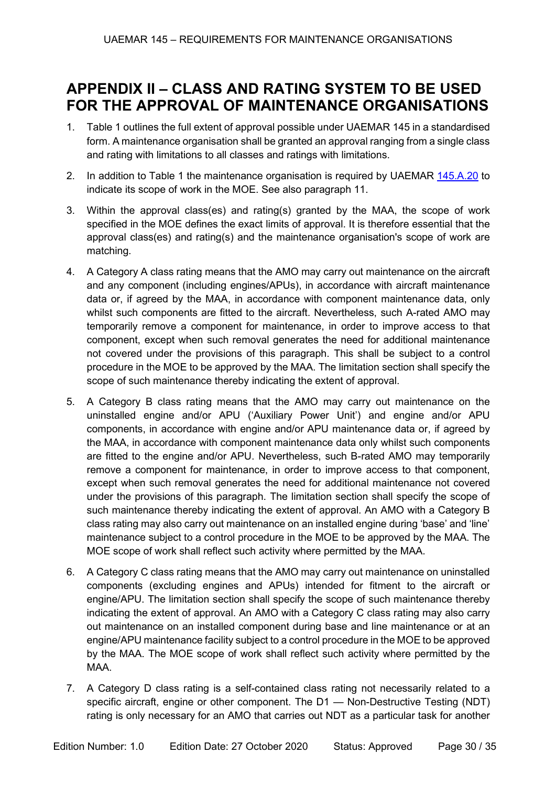### <span id="page-29-0"></span>**APPENDIX II – CLASS AND RATING SYSTEM TO BE USED FOR THE APPROVAL OF MAINTENANCE ORGANISATIONS**

- 1. Table 1 outlines the full extent of approval possible under UAEMAR 145 in a standardised form. A maintenance organisation shall be granted an approval ranging from a single class and rating with limitations to all classes and ratings with limitations.
- 2. In addition to Table 1 the maintenance organisation is required by UAEMAR 145.A.20 to indicate its scope of work in the MOE. See also paragraph 11.
- 3. Within the approval class(es) and rating(s) granted by the MAA, the scope of work specified in the MOE defines the exact limits of approval. It is therefore essential that the approval class(es) and rating(s) and the maintenance organisation's scope of work are matching.
- 4. A Category A class rating means that the AMO may carry out maintenance on the aircraft and any component (including engines/APUs), in accordance with aircraft maintenance data or, if agreed by the MAA, in accordance with component maintenance data, only whilst such components are fitted to the aircraft. Nevertheless, such A-rated AMO may temporarily remove a component for maintenance, in order to improve access to that component, except when such removal generates the need for additional maintenance not covered under the provisions of this paragraph. This shall be subject to a control procedure in the MOE to be approved by the MAA. The limitation section shall specify the scope of such maintenance thereby indicating the extent of approval.
- 5. A Category B class rating means that the AMO may carry out maintenance on the uninstalled engine and/or APU ('Auxiliary Power Unit') and engine and/or APU components, in accordance with engine and/or APU maintenance data or, if agreed by the MAA, in accordance with component maintenance data only whilst such components are fitted to the engine and/or APU. Nevertheless, such B-rated AMO may temporarily remove a component for maintenance, in order to improve access to that component, except when such removal generates the need for additional maintenance not covered under the provisions of this paragraph. The limitation section shall specify the scope of such maintenance thereby indicating the extent of approval. An AMO with a Category B class rating may also carry out maintenance on an installed engine during 'base' and 'line' maintenance subject to a control procedure in the MOE to be approved by the MAA. The MOE scope of work shall reflect such activity where permitted by the MAA.
- 6. A Category C class rating means that the AMO may carry out maintenance on uninstalled components (excluding engines and APUs) intended for fitment to the aircraft or engine/APU. The limitation section shall specify the scope of such maintenance thereby indicating the extent of approval. An AMO with a Category C class rating may also carry out maintenance on an installed component during base and line maintenance or at an engine/APU maintenance facility subject to a control procedure in the MOE to be approved by the MAA. The MOE scope of work shall reflect such activity where permitted by the MAA.
- 7. A Category D class rating is a self-contained class rating not necessarily related to a specific aircraft, engine or other component. The D1 — Non-Destructive Testing (NDT) rating is only necessary for an AMO that carries out NDT as a particular task for another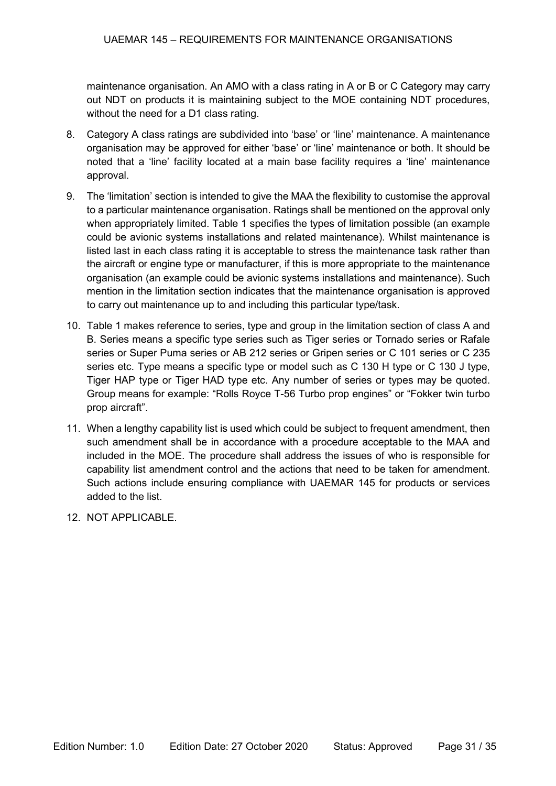maintenance organisation. An AMO with a class rating in A or B or C Category may carry out NDT on products it is maintaining subject to the MOE containing NDT procedures, without the need for a D1 class rating.

- 8. Category A class ratings are subdivided into 'base' or 'line' maintenance. A maintenance organisation may be approved for either 'base' or 'line' maintenance or both. It should be noted that a 'line' facility located at a main base facility requires a 'line' maintenance approval.
- 9. The 'limitation' section is intended to give the MAA the flexibility to customise the approval to a particular maintenance organisation. Ratings shall be mentioned on the approval only when appropriately limited. Table 1 specifies the types of limitation possible (an example could be avionic systems installations and related maintenance). Whilst maintenance is listed last in each class rating it is acceptable to stress the maintenance task rather than the aircraft or engine type or manufacturer, if this is more appropriate to the maintenance organisation (an example could be avionic systems installations and maintenance). Such mention in the limitation section indicates that the maintenance organisation is approved to carry out maintenance up to and including this particular type/task.
- 10. Table 1 makes reference to series, type and group in the limitation section of class A and B. Series means a specific type series such as Tiger series or Tornado series or Rafale series or Super Puma series or AB 212 series or Gripen series or C 101 series or C 235 series etc. Type means a specific type or model such as C 130 H type or C 130 J type, Tiger HAP type or Tiger HAD type etc. Any number of series or types may be quoted. Group means for example: "Rolls Royce T-56 Turbo prop engines" or "Fokker twin turbo prop aircraft".
- 11. When a lengthy capability list is used which could be subject to frequent amendment, then such amendment shall be in accordance with a procedure acceptable to the MAA and included in the MOE. The procedure shall address the issues of who is responsible for capability list amendment control and the actions that need to be taken for amendment. Such actions include ensuring compliance with UAEMAR 145 for products or services added to the list.
- 12. NOT APPLICABLE.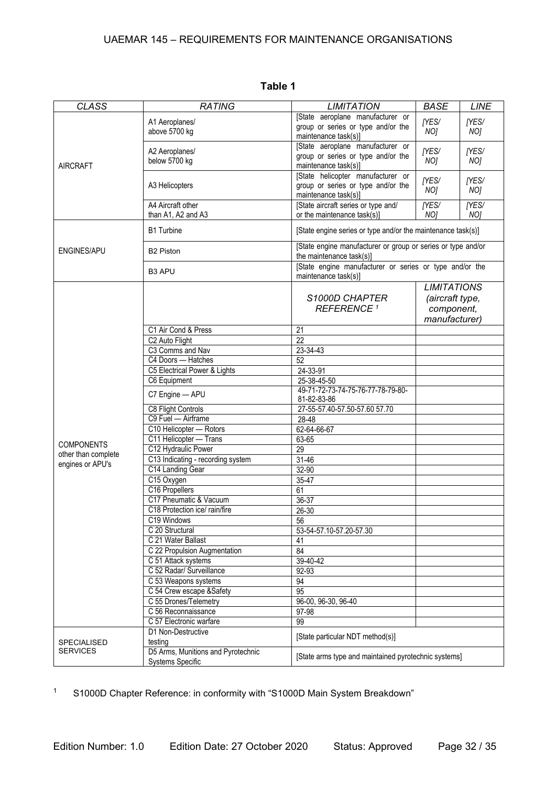#### UAEMAR 145 – REQUIREMENTS FOR MAINTENANCE ORGANISATIONS

| <b>CLASS</b>        | <b>RATING</b>                                                                                                 | <b>LIMITATION</b>                                                                               | <b>BASE</b>                                                          | <b>LINE</b>                     |  |
|---------------------|---------------------------------------------------------------------------------------------------------------|-------------------------------------------------------------------------------------------------|----------------------------------------------------------------------|---------------------------------|--|
| <b>AIRCRAFT</b>     | A1 Aeroplanes/<br>above 5700 kg                                                                               | [State aeroplane manufacturer or<br>group or series or type and/or the<br>maintenance task(s)]  | [YES/<br>NO <sub>I</sub>                                             | [YES/<br><b>NOI</b>             |  |
|                     | A2 Aeroplanes/<br>below 5700 kg                                                                               | [State aeroplane manufacturer or<br>group or series or type and/or the<br>maintenance task(s)]  |                                                                      | [YES/<br>NO <sub>I</sub>        |  |
|                     | A3 Helicopters                                                                                                | [State helicopter manufacturer or<br>group or series or type and/or the<br>maintenance task(s)] | [YES/<br>NO]                                                         | [YES/<br>NO]                    |  |
|                     | [State aircraft series or type and/<br>A4 Aircraft other<br>than A1, A2 and A3<br>or the maintenance task(s)] |                                                                                                 | [YES/<br>NO <sub>I</sub>                                             | <b>TYES/</b><br>NO <sub>1</sub> |  |
|                     | <b>B1 Turbine</b>                                                                                             | [State engine series or type and/or the maintenance task(s)]                                    |                                                                      |                                 |  |
| ENGINES/APU         | <b>B2 Piston</b>                                                                                              | [State engine manufacturer or group or series or type and/or<br>the maintenance task(s)]        |                                                                      |                                 |  |
|                     | B <sub>3</sub> APU                                                                                            | [State engine manufacturer or series or type and/or the<br>maintenance task(s)]                 |                                                                      |                                 |  |
|                     |                                                                                                               | S1000D CHAPTER<br><b>REFERENCE<sup>1</sup></b>                                                  | <b>LIMITATIONS</b><br>(aircraft type,<br>component,<br>manufacturer) |                                 |  |
|                     | C1 Air Cond & Press                                                                                           | 21                                                                                              |                                                                      |                                 |  |
|                     | C <sub>2</sub> Auto Flight                                                                                    | $\overline{22}$                                                                                 |                                                                      |                                 |  |
|                     | C3 Comms and Nav                                                                                              | 23-34-43                                                                                        |                                                                      |                                 |  |
|                     | C4 Doors - Hatches                                                                                            | $\overline{52}$                                                                                 |                                                                      |                                 |  |
|                     | C5 Electrical Power & Lights                                                                                  | 24-33-91                                                                                        |                                                                      |                                 |  |
|                     | C6 Equipment                                                                                                  | 25-38-45-50                                                                                     |                                                                      |                                 |  |
|                     | C7 Engine - APU                                                                                               | 49-71-72-73-74-75-76-77-78-79-80-<br>81-82-83-86                                                |                                                                      |                                 |  |
|                     | C8 Flight Controls                                                                                            | 27-55-57.40-57.50-57.60 57.70                                                                   |                                                                      |                                 |  |
|                     | C9 Fuel - Airframe                                                                                            | $28 - 48$                                                                                       |                                                                      |                                 |  |
|                     | C10 Helicopter - Rotors                                                                                       | 62-64-66-67                                                                                     |                                                                      |                                 |  |
|                     | C11 Helicopter - Trans                                                                                        | $63 - 65$                                                                                       |                                                                      |                                 |  |
| <b>COMPONENTS</b>   | C12 Hydraulic Power                                                                                           | 29                                                                                              |                                                                      |                                 |  |
| other than complete | C13 Indicating - recording system                                                                             | $31 - 46$                                                                                       |                                                                      |                                 |  |
| engines or APU's    | C14 Landing Gear                                                                                              | 32-90                                                                                           |                                                                      |                                 |  |
|                     | C15 Oxygen                                                                                                    | 35-47                                                                                           |                                                                      |                                 |  |
|                     | C16 Propellers                                                                                                | 61                                                                                              |                                                                      |                                 |  |
|                     | C17 Pneumatic & Vacuum                                                                                        | $36 - 37$                                                                                       |                                                                      |                                 |  |
|                     | C18 Protection ice/ rain/fire                                                                                 | $26 - 30$                                                                                       |                                                                      |                                 |  |
|                     | C19 Windows                                                                                                   | 56                                                                                              |                                                                      |                                 |  |
|                     | C 20 Structural                                                                                               | 53-54-57.10-57.20-57.30                                                                         |                                                                      |                                 |  |
|                     | C 21 Water Ballast                                                                                            | 41                                                                                              |                                                                      |                                 |  |
|                     | C 22 Propulsion Augmentation                                                                                  | 84                                                                                              |                                                                      |                                 |  |
|                     | C 51 Attack systems                                                                                           | 39-40-42                                                                                        |                                                                      |                                 |  |
|                     | C 52 Radar/ Surveillance                                                                                      | 92-93                                                                                           |                                                                      |                                 |  |
|                     | C 53 Weapons systems                                                                                          | 94                                                                                              |                                                                      |                                 |  |
|                     | C 54 Crew escape &Safety                                                                                      | 95                                                                                              |                                                                      |                                 |  |
|                     | C 55 Drones/Telemetry                                                                                         | 96-00, 96-30, 96-40                                                                             |                                                                      |                                 |  |
|                     | C 56 Reconnaissance                                                                                           | 97-98                                                                                           |                                                                      |                                 |  |
|                     | C 57 Electronic warfare                                                                                       | 99                                                                                              |                                                                      |                                 |  |
| SPECIALISED         | D1 Non-Destructive<br>testing                                                                                 | [State particular NDT method(s)]                                                                |                                                                      |                                 |  |
| <b>SERVICES</b>     | D5 Arms, Munitions and Pyrotechnic<br><b>Systems Specific</b>                                                 | [State arms type and maintained pyrotechnic systems]                                            |                                                                      |                                 |  |

#### **Table 1**

<span id="page-31-0"></span><sup>1</sup> S1000D Chapter Reference: in conformity with "S1000D Main System Breakdown"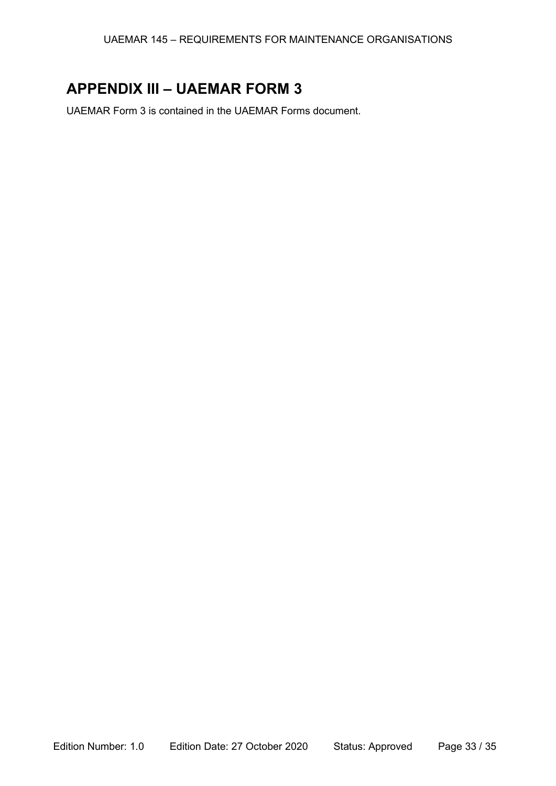## **APPENDIX III – UAEMAR FORM 3**

UAEMAR Form 3 is contained in the UAEMAR Forms document.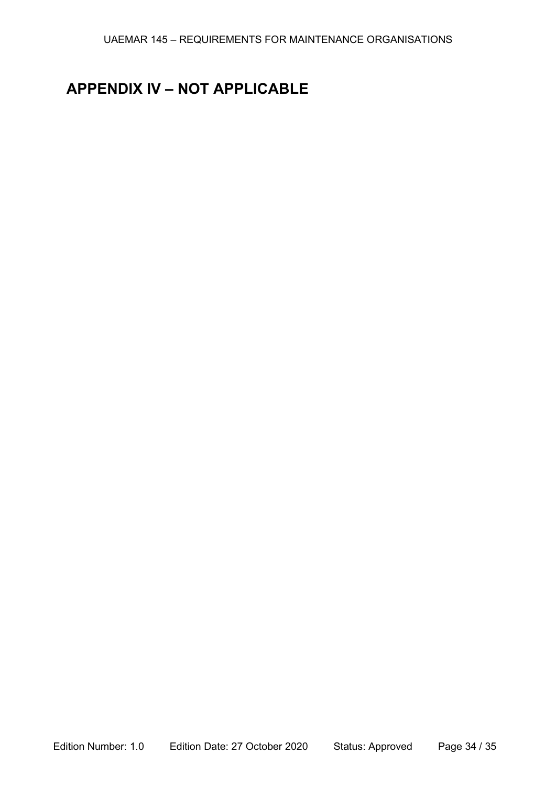## <span id="page-33-0"></span>**APPENDIX IV – NOT APPLICABLE**